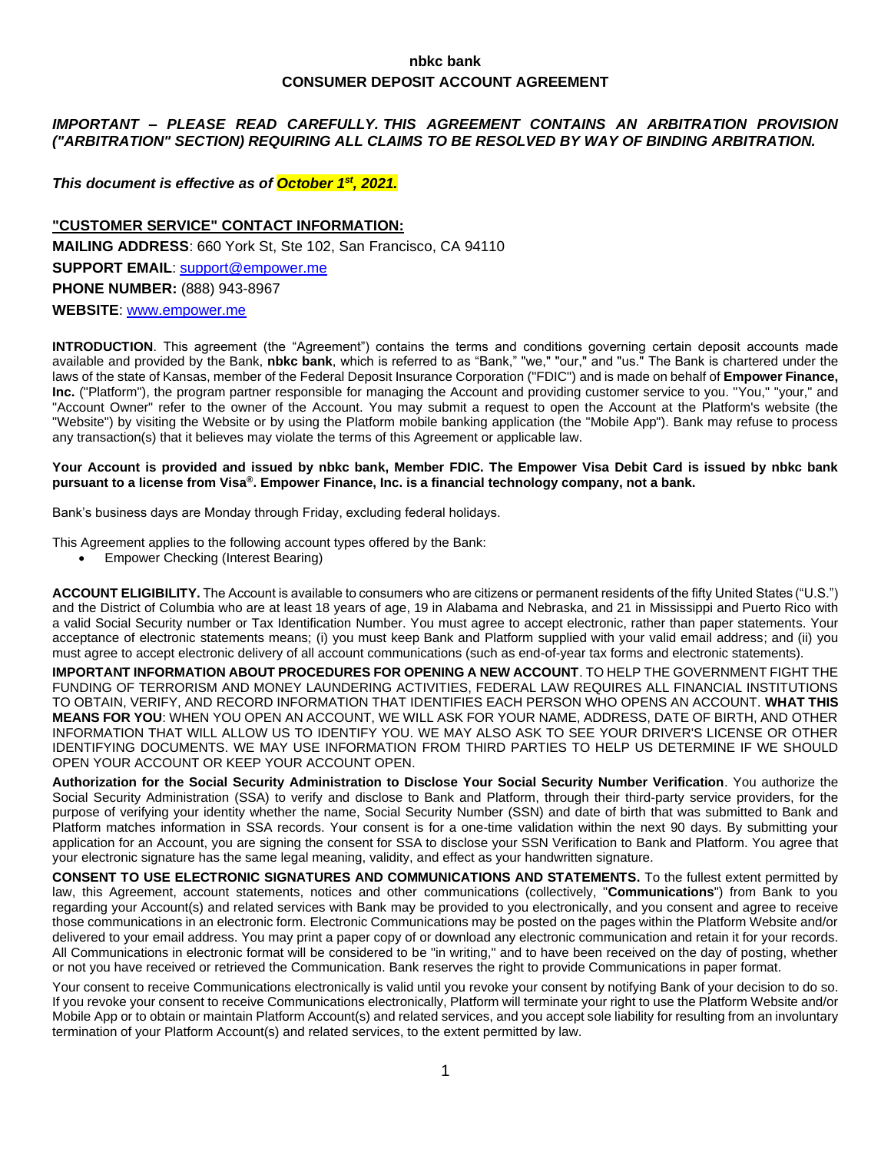# **nbkc bank CONSUMER DEPOSIT ACCOUNT AGREEMENT**

# *IMPORTANT – PLEASE READ CAREFULLY. THIS AGREEMENT CONTAINS AN ARBITRATION PROVISION ("ARBITRATION" SECTION) REQUIRING ALL CLAIMS TO BE RESOLVED BY WAY OF BINDING ARBITRATION.*

# *This document is effective as of October 1 st, 2021.*

# **"CUSTOMER SERVICE" CONTACT INFORMATION:**

**MAILING ADDRESS**: 660 York St, Ste 102, San Francisco, CA 94110 **SUPPORT EMAIL**: [support@empower.me](mailto:support@empower.me) **PHONE NUMBER:** (888) 943-8967 **WEBSITE**: [www.empower.me](http://www.empower.me/)

**INTRODUCTION**. This agreement (the "Agreement") contains the terms and conditions governing certain deposit accounts made available and provided by the Bank, **nbkc bank**, which is referred to as "Bank," "we," "our," and "us." The Bank is chartered under the laws of the state of Kansas, member of the Federal Deposit Insurance Corporation ("FDIC") and is made on behalf of **Empower Finance, Inc.** ("Platform"), the program partner responsible for managing the Account and providing customer service to you. "You," "your," and "Account Owner" refer to the owner of the Account. You may submit a request to open the Account at the Platform's website (the "Website") by visiting the Website or by using the Platform mobile banking application (the "Mobile App"). Bank may refuse to process any transaction(s) that it believes may violate the terms of this Agreement or applicable law.

#### **Your Account is provided and issued by nbkc bank, Member FDIC. The Empower Visa Debit Card is issued by nbkc bank pursuant to a license from Visa®. Empower Finance, Inc. is a financial technology company, not a bank.**

Bank's business days are Monday through Friday, excluding federal holidays.

This Agreement applies to the following account types offered by the Bank:

• Empower Checking (Interest Bearing)

**ACCOUNT ELIGIBILITY.** The Account is available to consumers who are citizens or permanent residents of the fifty United States ("U.S.") and the District of Columbia who are at least 18 years of age, 19 in Alabama and Nebraska, and 21 in Mississippi and Puerto Rico with a valid Social Security number or Tax Identification Number. You must agree to accept electronic, rather than paper statements. Your acceptance of electronic statements means; (i) you must keep Bank and Platform supplied with your valid email address; and (ii) you must agree to accept electronic delivery of all account communications (such as end-of-year tax forms and electronic statements).

**IMPORTANT INFORMATION ABOUT PROCEDURES FOR OPENING A NEW ACCOUNT**. TO HELP THE GOVERNMENT FIGHT THE FUNDING OF TERRORISM AND MONEY LAUNDERING ACTIVITIES, FEDERAL LAW REQUIRES ALL FINANCIAL INSTITUTIONS TO OBTAIN, VERIFY, AND RECORD INFORMATION THAT IDENTIFIES EACH PERSON WHO OPENS AN ACCOUNT. **WHAT THIS MEANS FOR YOU**: WHEN YOU OPEN AN ACCOUNT, WE WILL ASK FOR YOUR NAME, ADDRESS, DATE OF BIRTH, AND OTHER INFORMATION THAT WILL ALLOW US TO IDENTIFY YOU. WE MAY ALSO ASK TO SEE YOUR DRIVER'S LICENSE OR OTHER IDENTIFYING DOCUMENTS. WE MAY USE INFORMATION FROM THIRD PARTIES TO HELP US DETERMINE IF WE SHOULD OPEN YOUR ACCOUNT OR KEEP YOUR ACCOUNT OPEN.

**Authorization for the Social Security Administration to Disclose Your Social Security Number Verification**. You authorize the Social Security Administration (SSA) to verify and disclose to Bank and Platform, through their third-party service providers, for the purpose of verifying your identity whether the name, Social Security Number (SSN) and date of birth that was submitted to Bank and Platform matches information in SSA records. Your consent is for a one-time validation within the next 90 days. By submitting your application for an Account, you are signing the consent for SSA to disclose your SSN Verification to Bank and Platform. You agree that your electronic signature has the same legal meaning, validity, and effect as your handwritten signature.

**CONSENT TO USE ELECTRONIC SIGNATURES AND COMMUNICATIONS AND STATEMENTS.** To the fullest extent permitted by law, this Agreement, account statements, notices and other communications (collectively, "**Communications**") from Bank to you regarding your Account(s) and related services with Bank may be provided to you electronically, and you consent and agree to receive those communications in an electronic form. Electronic Communications may be posted on the pages within the Platform Website and/or delivered to your email address. You may print a paper copy of or download any electronic communication and retain it for your records. All Communications in electronic format will be considered to be "in writing," and to have been received on the day of posting, whether or not you have received or retrieved the Communication. Bank reserves the right to provide Communications in paper format.

Your consent to receive Communications electronically is valid until you revoke your consent by notifying Bank of your decision to do so. If you revoke your consent to receive Communications electronically, Platform will terminate your right to use the Platform Website and/or Mobile App or to obtain or maintain Platform Account(s) and related services, and you accept sole liability for resulting from an involuntary termination of your Platform Account(s) and related services, to the extent permitted by law.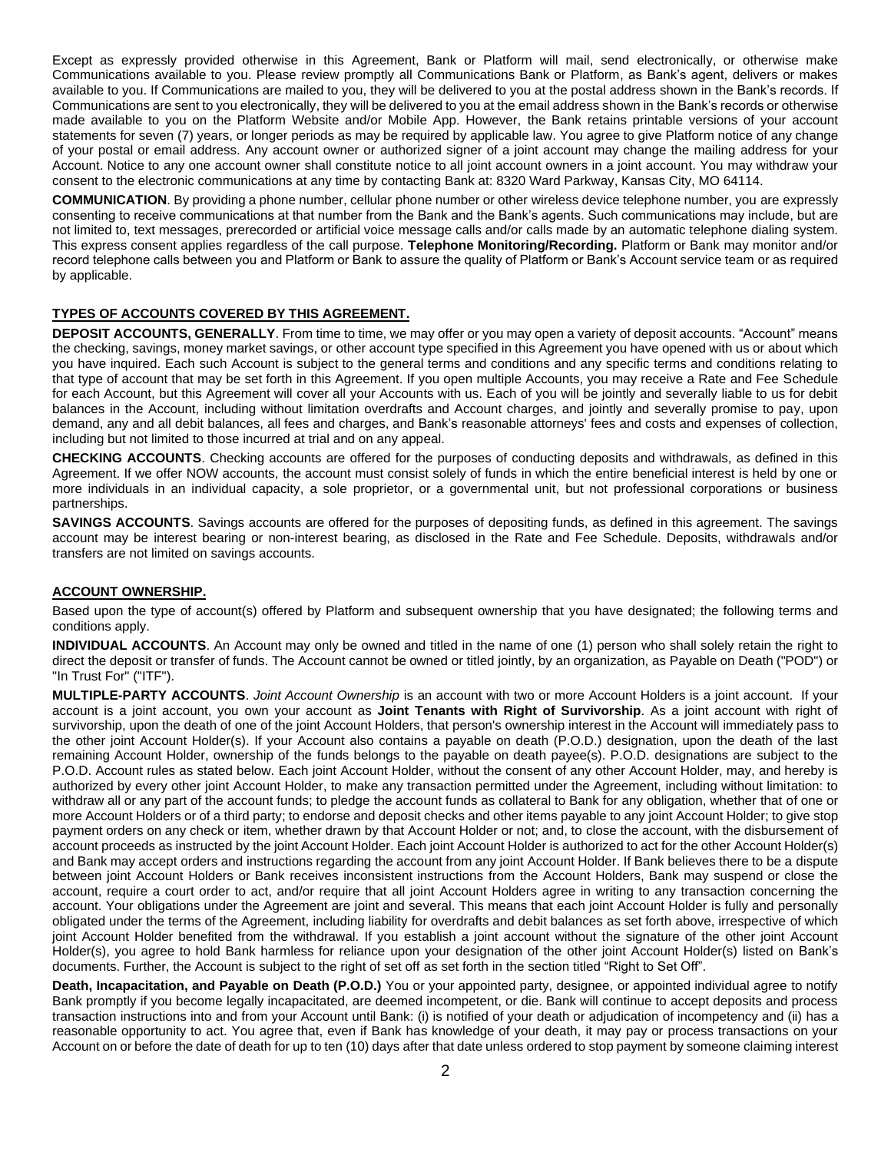Except as expressly provided otherwise in this Agreement, Bank or Platform will mail, send electronically, or otherwise make Communications available to you. Please review promptly all Communications Bank or Platform, as Bank's agent, delivers or makes available to you. If Communications are mailed to you, they will be delivered to you at the postal address shown in the Bank's records. If Communications are sent to you electronically, they will be delivered to you at the email address shown in the Bank's records or otherwise made available to you on the Platform Website and/or Mobile App. However, the Bank retains printable versions of your account statements for seven (7) years, or longer periods as may be required by applicable law. You agree to give Platform notice of any change of your postal or email address. Any account owner or authorized signer of a joint account may change the mailing address for your Account. Notice to any one account owner shall constitute notice to all joint account owners in a joint account. You may withdraw your consent to the electronic communications at any time by contacting Bank at: 8320 Ward Parkway, Kansas City, MO 64114.

**COMMUNICATION**. By providing a phone number, cellular phone number or other wireless device telephone number, you are expressly consenting to receive communications at that number from the Bank and the Bank's agents. Such communications may include, but are not limited to, text messages, prerecorded or artificial voice message calls and/or calls made by an automatic telephone dialing system. This express consent applies regardless of the call purpose. **Telephone Monitoring/Recording.** Platform or Bank may monitor and/or record telephone calls between you and Platform or Bank to assure the quality of Platform or Bank's Account service team or as required by applicable.

## **TYPES OF ACCOUNTS COVERED BY THIS AGREEMENT.**

**DEPOSIT ACCOUNTS, GENERALLY**. From time to time, we may offer or you may open a variety of deposit accounts. "Account" means the checking, savings, money market savings, or other account type specified in this Agreement you have opened with us or about which you have inquired. Each such Account is subject to the general terms and conditions and any specific terms and conditions relating to that type of account that may be set forth in this Agreement. If you open multiple Accounts, you may receive a Rate and Fee Schedule for each Account, but this Agreement will cover all your Accounts with us. Each of you will be jointly and severally liable to us for debit balances in the Account, including without limitation overdrafts and Account charges, and jointly and severally promise to pay, upon demand, any and all debit balances, all fees and charges, and Bank's reasonable attorneys' fees and costs and expenses of collection, including but not limited to those incurred at trial and on any appeal.

**CHECKING ACCOUNTS**. Checking accounts are offered for the purposes of conducting deposits and withdrawals, as defined in this Agreement. If we offer NOW accounts, the account must consist solely of funds in which the entire beneficial interest is held by one or more individuals in an individual capacity, a sole proprietor, or a governmental unit, but not professional corporations or business partnerships.

**SAVINGS ACCOUNTS**. Savings accounts are offered for the purposes of depositing funds, as defined in this agreement. The savings account may be interest bearing or non-interest bearing, as disclosed in the Rate and Fee Schedule. Deposits, withdrawals and/or transfers are not limited on savings accounts.

#### **ACCOUNT OWNERSHIP.**

Based upon the type of account(s) offered by Platform and subsequent ownership that you have designated; the following terms and conditions apply.

**INDIVIDUAL ACCOUNTS**. An Account may only be owned and titled in the name of one (1) person who shall solely retain the right to direct the deposit or transfer of funds. The Account cannot be owned or titled jointly, by an organization, as Payable on Death ("POD") or "In Trust For" ("ITF").

**MULTIPLE-PARTY ACCOUNTS**. *Joint Account Ownership* is an account with two or more Account Holders is a joint account. If your account is a joint account, you own your account as **Joint Tenants with Right of Survivorship**. As a joint account with right of survivorship, upon the death of one of the joint Account Holders, that person's ownership interest in the Account will immediately pass to the other joint Account Holder(s). If your Account also contains a payable on death (P.O.D.) designation, upon the death of the last remaining Account Holder, ownership of the funds belongs to the payable on death payee(s). P.O.D. designations are subject to the P.O.D. Account rules as stated below. Each joint Account Holder, without the consent of any other Account Holder, may, and hereby is authorized by every other joint Account Holder, to make any transaction permitted under the Agreement, including without limitation: to withdraw all or any part of the account funds; to pledge the account funds as collateral to Bank for any obligation, whether that of one or more Account Holders or of a third party; to endorse and deposit checks and other items payable to any joint Account Holder; to give stop payment orders on any check or item, whether drawn by that Account Holder or not; and, to close the account, with the disbursement of account proceeds as instructed by the joint Account Holder. Each joint Account Holder is authorized to act for the other Account Holder(s) and Bank may accept orders and instructions regarding the account from any joint Account Holder. If Bank believes there to be a dispute between joint Account Holders or Bank receives inconsistent instructions from the Account Holders, Bank may suspend or close the account, require a court order to act, and/or require that all joint Account Holders agree in writing to any transaction concerning the account. Your obligations under the Agreement are joint and several. This means that each joint Account Holder is fully and personally obligated under the terms of the Agreement, including liability for overdrafts and debit balances as set forth above, irrespective of which joint Account Holder benefited from the withdrawal. If you establish a joint account without the signature of the other joint Account Holder(s), you agree to hold Bank harmless for reliance upon your designation of the other joint Account Holder(s) listed on Bank's documents. Further, the Account is subject to the right of set off as set forth in the section titled "Right to Set Off".

**Death, Incapacitation, and Payable on Death (P.O.D.)** You or your appointed party, designee, or appointed individual agree to notify Bank promptly if you become legally incapacitated, are deemed incompetent, or die. Bank will continue to accept deposits and process transaction instructions into and from your Account until Bank: (i) is notified of your death or adjudication of incompetency and (ii) has a reasonable opportunity to act. You agree that, even if Bank has knowledge of your death, it may pay or process transactions on your Account on or before the date of death for up to ten (10) days after that date unless ordered to stop payment by someone claiming interest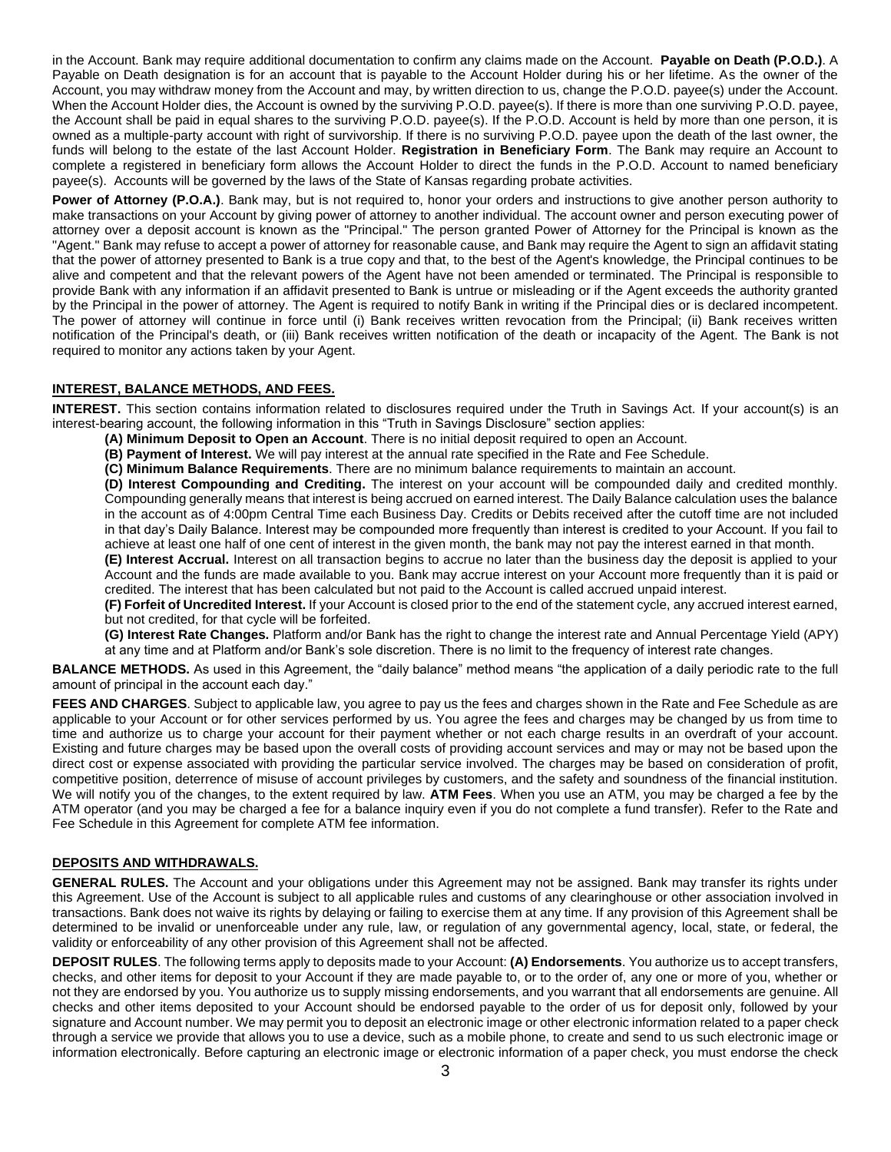in the Account. Bank may require additional documentation to confirm any claims made on the Account. **Payable on Death (P.O.D.)**. A Payable on Death designation is for an account that is payable to the Account Holder during his or her lifetime. As the owner of the Account, you may withdraw money from the Account and may, by written direction to us, change the P.O.D. payee(s) under the Account. When the Account Holder dies, the Account is owned by the surviving P.O.D. payee(s). If there is more than one surviving P.O.D. payee, the Account shall be paid in equal shares to the surviving P.O.D. payee(s). If the P.O.D. Account is held by more than one person, it is owned as a multiple-party account with right of survivorship. If there is no surviving P.O.D. payee upon the death of the last owner, the funds will belong to the estate of the last Account Holder. **Registration in Beneficiary Form**. The Bank may require an Account to complete a registered in beneficiary form allows the Account Holder to direct the funds in the P.O.D. Account to named beneficiary payee(s). Accounts will be governed by the laws of the State of Kansas regarding probate activities.

**Power of Attorney (P.O.A.)**. Bank may, but is not required to, honor your orders and instructions to give another person authority to make transactions on your Account by giving power of attorney to another individual. The account owner and person executing power of attorney over a deposit account is known as the "Principal." The person granted Power of Attorney for the Principal is known as the "Agent." Bank may refuse to accept a power of attorney for reasonable cause, and Bank may require the Agent to sign an affidavit stating that the power of attorney presented to Bank is a true copy and that, to the best of the Agent's knowledge, the Principal continues to be alive and competent and that the relevant powers of the Agent have not been amended or terminated. The Principal is responsible to provide Bank with any information if an affidavit presented to Bank is untrue or misleading or if the Agent exceeds the authority granted by the Principal in the power of attorney. The Agent is required to notify Bank in writing if the Principal dies or is declared incompetent. The power of attorney will continue in force until (i) Bank receives written revocation from the Principal; (ii) Bank receives written notification of the Principal's death, or (iii) Bank receives written notification of the death or incapacity of the Agent. The Bank is not required to monitor any actions taken by your Agent.

## **INTEREST, BALANCE METHODS, AND FEES.**

**INTEREST.** This section contains information related to disclosures required under the Truth in Savings Act. If your account(s) is an interest-bearing account, the following information in this "Truth in Savings Disclosure" section applies:

- **(A) Minimum Deposit to Open an Account**. There is no initial deposit required to open an Account.
- **(B) Payment of Interest.** We will pay interest at the annual rate specified in the Rate and Fee Schedule.
- **(C) Minimum Balance Requirements**. There are no minimum balance requirements to maintain an account.

**(D) Interest Compounding and Crediting.** The interest on your account will be compounded daily and credited monthly. Compounding generally means that interest is being accrued on earned interest. The Daily Balance calculation uses the balance in the account as of 4:00pm Central Time each Business Day. Credits or Debits received after the cutoff time are not included in that day's Daily Balance. Interest may be compounded more frequently than interest is credited to your Account. If you fail to achieve at least one half of one cent of interest in the given month, the bank may not pay the interest earned in that month.

**(E) Interest Accrual.** Interest on all transaction begins to accrue no later than the business day the deposit is applied to your Account and the funds are made available to you. Bank may accrue interest on your Account more frequently than it is paid or credited. The interest that has been calculated but not paid to the Account is called accrued unpaid interest.

**(F) Forfeit of Uncredited Interest.** If your Account is closed prior to the end of the statement cycle, any accrued interest earned, but not credited, for that cycle will be forfeited.

**(G) Interest Rate Changes.** Platform and/or Bank has the right to change the interest rate and Annual Percentage Yield (APY) at any time and at Platform and/or Bank's sole discretion. There is no limit to the frequency of interest rate changes.

**BALANCE METHODS.** As used in this Agreement, the "daily balance" method means "the application of a daily periodic rate to the full amount of principal in the account each day."

**FEES AND CHARGES**. Subject to applicable law, you agree to pay us the fees and charges shown in the Rate and Fee Schedule as are applicable to your Account or for other services performed by us. You agree the fees and charges may be changed by us from time to time and authorize us to charge your account for their payment whether or not each charge results in an overdraft of your account. Existing and future charges may be based upon the overall costs of providing account services and may or may not be based upon the direct cost or expense associated with providing the particular service involved. The charges may be based on consideration of profit, competitive position, deterrence of misuse of account privileges by customers, and the safety and soundness of the financial institution. We will notify you of the changes, to the extent required by law. **ATM Fees**. When you use an ATM, you may be charged a fee by the ATM operator (and you may be charged a fee for a balance inquiry even if you do not complete a fund transfer). Refer to the Rate and Fee Schedule in this Agreement for complete ATM fee information.

#### **DEPOSITS AND WITHDRAWALS.**

**GENERAL RULES.** The Account and your obligations under this Agreement may not be assigned. Bank may transfer its rights under this Agreement. Use of the Account is subject to all applicable rules and customs of any clearinghouse or other association involved in transactions. Bank does not waive its rights by delaying or failing to exercise them at any time. If any provision of this Agreement shall be determined to be invalid or unenforceable under any rule, law, or regulation of any governmental agency, local, state, or federal, the validity or enforceability of any other provision of this Agreement shall not be affected.

**DEPOSIT RULES**. The following terms apply to deposits made to your Account: **(A) Endorsements**. You authorize us to accept transfers, checks, and other items for deposit to your Account if they are made payable to, or to the order of, any one or more of you, whether or not they are endorsed by you. You authorize us to supply missing endorsements, and you warrant that all endorsements are genuine. All checks and other items deposited to your Account should be endorsed payable to the order of us for deposit only, followed by your signature and Account number. We may permit you to deposit an electronic image or other electronic information related to a paper check through a service we provide that allows you to use a device, such as a mobile phone, to create and send to us such electronic image or information electronically. Before capturing an electronic image or electronic information of a paper check, you must endorse the check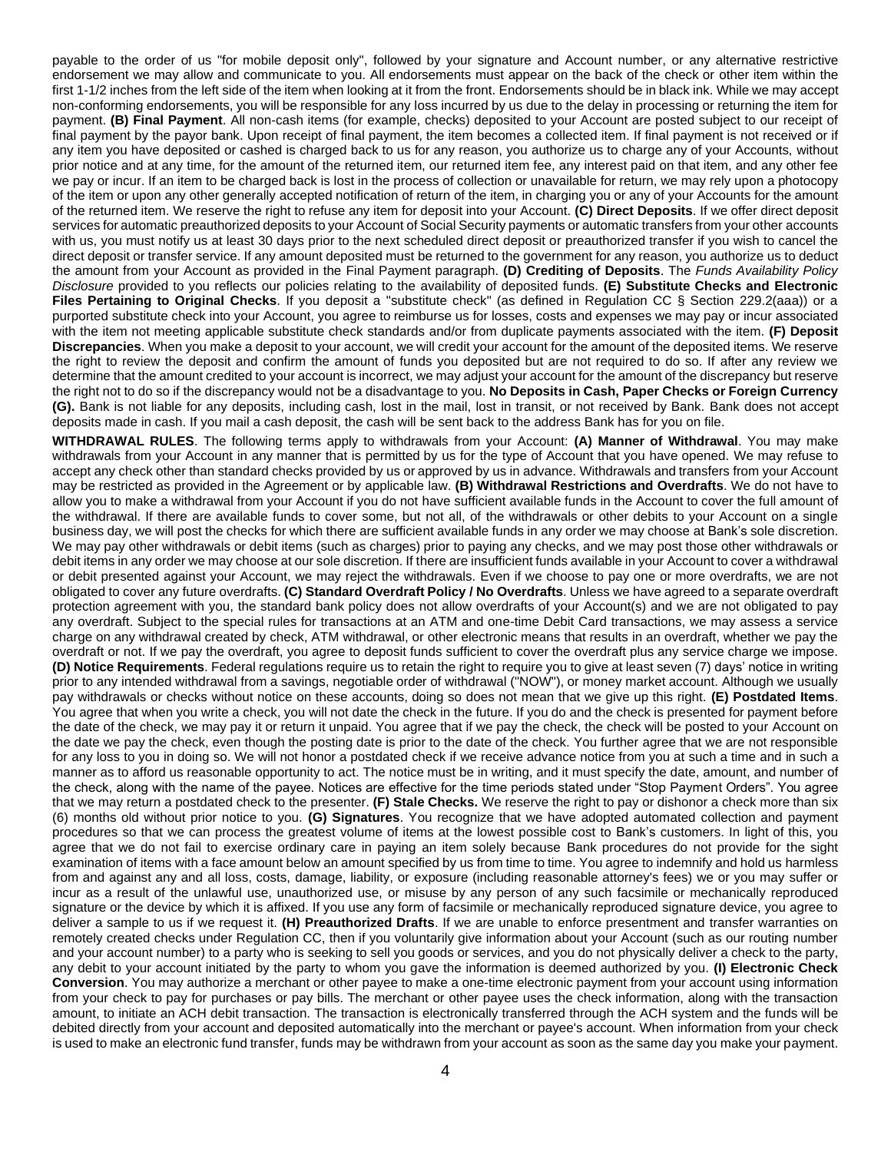payable to the order of us "for mobile deposit only", followed by your signature and Account number, or any alternative restrictive endorsement we may allow and communicate to you. All endorsements must appear on the back of the check or other item within the first 1-1/2 inches from the left side of the item when looking at it from the front. Endorsements should be in black ink. While we may accept non-conforming endorsements, you will be responsible for any loss incurred by us due to the delay in processing or returning the item for payment. **(B) Final Payment**. All non-cash items (for example, checks) deposited to your Account are posted subject to our receipt of final payment by the payor bank. Upon receipt of final payment, the item becomes a collected item. If final payment is not received or if any item you have deposited or cashed is charged back to us for any reason, you authorize us to charge any of your Accounts, without prior notice and at any time, for the amount of the returned item, our returned item fee, any interest paid on that item, and any other fee we pay or incur. If an item to be charged back is lost in the process of collection or unavailable for return, we may rely upon a photocopy of the item or upon any other generally accepted notification of return of the item, in charging you or any of your Accounts for the amount of the returned item. We reserve the right to refuse any item for deposit into your Account. **(C) Direct Deposits**. If we offer direct deposit services for automatic preauthorized deposits to your Account of Social Security payments or automatic transfers from your other accounts with us, you must notify us at least 30 days prior to the next scheduled direct deposit or preauthorized transfer if you wish to cancel the direct deposit or transfer service. If any amount deposited must be returned to the government for any reason, you authorize us to deduct the amount from your Account as provided in the Final Payment paragraph. **(D) Crediting of Deposits**. The *Funds Availability Policy Disclosure* provided to you reflects our policies relating to the availability of deposited funds. **(E) Substitute Checks and Electronic Files Pertaining to Original Checks**. If you deposit a "substitute check" (as defined in Regulation CC § Section 229.2(aaa)) or a purported substitute check into your Account, you agree to reimburse us for losses, costs and expenses we may pay or incur associated with the item not meeting applicable substitute check standards and/or from duplicate payments associated with the item. **(F) Deposit Discrepancies**. When you make a deposit to your account, we will credit your account for the amount of the deposited items. We reserve the right to review the deposit and confirm the amount of funds you deposited but are not required to do so. If after any review we determine that the amount credited to your account is incorrect, we may adjust your account for the amount of the discrepancy but reserve the right not to do so if the discrepancy would not be a disadvantage to you. **No Deposits in Cash, Paper Checks or Foreign Currency (G).** Bank is not liable for any deposits, including cash, lost in the mail, lost in transit, or not received by Bank. Bank does not accept deposits made in cash. If you mail a cash deposit, the cash will be sent back to the address Bank has for you on file.

**WITHDRAWAL RULES**. The following terms apply to withdrawals from your Account: **(A) Manner of Withdrawal**. You may make withdrawals from your Account in any manner that is permitted by us for the type of Account that you have opened. We may refuse to accept any check other than standard checks provided by us or approved by us in advance. Withdrawals and transfers from your Account may be restricted as provided in the Agreement or by applicable law. **(B) Withdrawal Restrictions and Overdrafts**. We do not have to allow you to make a withdrawal from your Account if you do not have sufficient available funds in the Account to cover the full amount of the withdrawal. If there are available funds to cover some, but not all, of the withdrawals or other debits to your Account on a single business day, we will post the checks for which there are sufficient available funds in any order we may choose at Bank's sole discretion. We may pay other withdrawals or debit items (such as charges) prior to paying any checks, and we may post those other withdrawals or debit items in any order we may choose at our sole discretion. If there are insufficient funds available in your Account to cover a withdrawal or debit presented against your Account, we may reject the withdrawals. Even if we choose to pay one or more overdrafts, we are not obligated to cover any future overdrafts. **(C) Standard Overdraft Policy / No Overdrafts**. Unless we have agreed to a separate overdraft protection agreement with you, the standard bank policy does not allow overdrafts of your Account(s) and we are not obligated to pay any overdraft. Subject to the special rules for transactions at an ATM and one-time Debit Card transactions, we may assess a service charge on any withdrawal created by check, ATM withdrawal, or other electronic means that results in an overdraft, whether we pay the overdraft or not. If we pay the overdraft, you agree to deposit funds sufficient to cover the overdraft plus any service charge we impose. **(D) Notice Requirements**. Federal regulations require us to retain the right to require you to give at least seven (7) days' notice in writing prior to any intended withdrawal from a savings, negotiable order of withdrawal ("NOW"), or money market account. Although we usually pay withdrawals or checks without notice on these accounts, doing so does not mean that we give up this right. **(E) Postdated Items**. You agree that when you write a check, you will not date the check in the future. If you do and the check is presented for payment before the date of the check, we may pay it or return it unpaid. You agree that if we pay the check, the check will be posted to your Account on the date we pay the check, even though the posting date is prior to the date of the check. You further agree that we are not responsible for any loss to you in doing so. We will not honor a postdated check if we receive advance notice from you at such a time and in such a manner as to afford us reasonable opportunity to act. The notice must be in writing, and it must specify the date, amount, and number of the check, along with the name of the payee. Notices are effective for the time periods stated under "Stop Payment Orders". You agree that we may return a postdated check to the presenter. **(F) Stale Checks.** We reserve the right to pay or dishonor a check more than six (6) months old without prior notice to you. **(G) Signatures**. You recognize that we have adopted automated collection and payment procedures so that we can process the greatest volume of items at the lowest possible cost to Bank's customers. In light of this, you agree that we do not fail to exercise ordinary care in paying an item solely because Bank procedures do not provide for the sight examination of items with a face amount below an amount specified by us from time to time. You agree to indemnify and hold us harmless from and against any and all loss, costs, damage, liability, or exposure (including reasonable attorney's fees) we or you may suffer or incur as a result of the unlawful use, unauthorized use, or misuse by any person of any such facsimile or mechanically reproduced signature or the device by which it is affixed. If you use any form of facsimile or mechanically reproduced signature device, you agree to deliver a sample to us if we request it. **(H) Preauthorized Drafts**. If we are unable to enforce presentment and transfer warranties on remotely created checks under Regulation CC, then if you voluntarily give information about your Account (such as our routing number and your account number) to a party who is seeking to sell you goods or services, and you do not physically deliver a check to the party, any debit to your account initiated by the party to whom you gave the information is deemed authorized by you. **(I) Electronic Check Conversion**. You may authorize a merchant or other payee to make a one-time electronic payment from your account using information from your check to pay for purchases or pay bills. The merchant or other payee uses the check information, along with the transaction amount, to initiate an ACH debit transaction. The transaction is electronically transferred through the ACH system and the funds will be debited directly from your account and deposited automatically into the merchant or payee's account. When information from your check is used to make an electronic fund transfer, funds may be withdrawn from your account as soon as the same day you make your payment.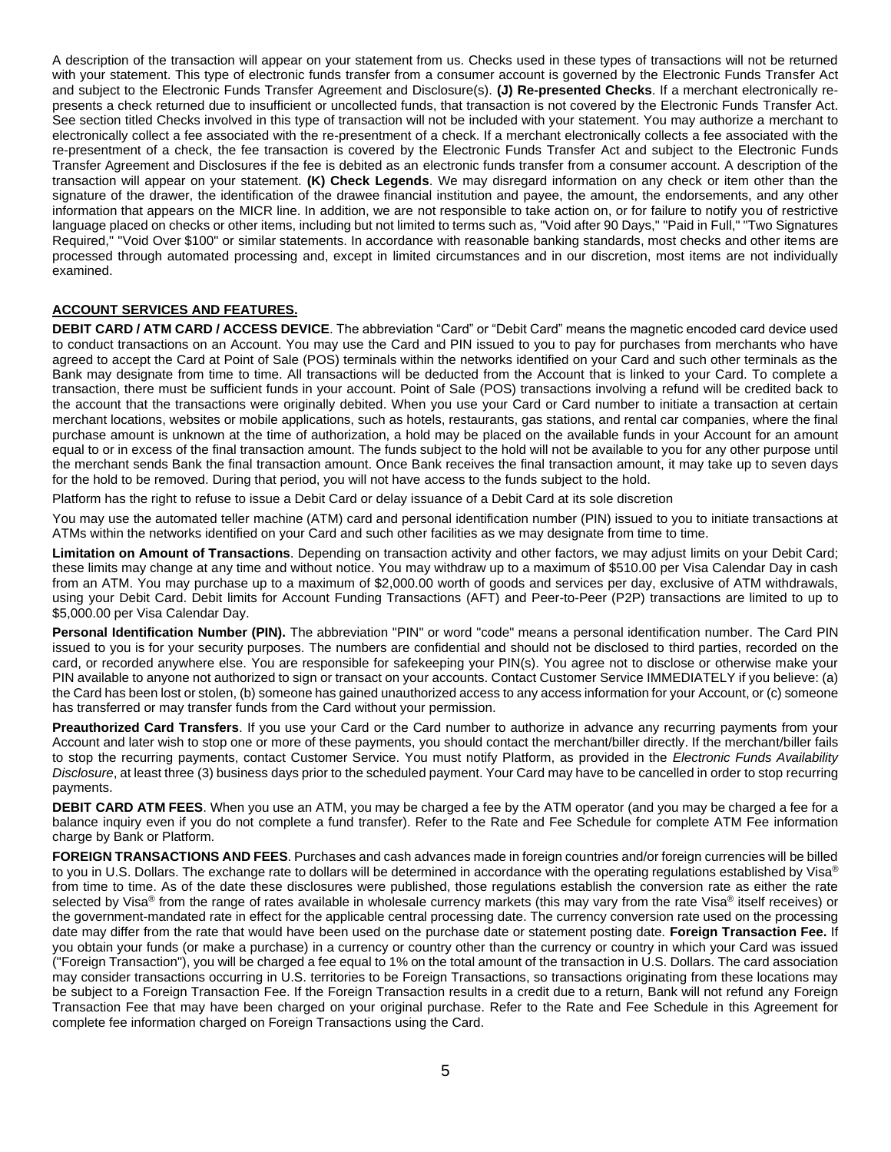A description of the transaction will appear on your statement from us. Checks used in these types of transactions will not be returned with your statement. This type of electronic funds transfer from a consumer account is governed by the Electronic Funds Transfer Act and subject to the Electronic Funds Transfer Agreement and Disclosure(s). **(J) Re-presented Checks**. If a merchant electronically represents a check returned due to insufficient or uncollected funds, that transaction is not covered by the Electronic Funds Transfer Act. See section titled Checks involved in this type of transaction will not be included with your statement. You may authorize a merchant to electronically collect a fee associated with the re-presentment of a check. If a merchant electronically collects a fee associated with the re-presentment of a check, the fee transaction is covered by the Electronic Funds Transfer Act and subject to the Electronic Funds Transfer Agreement and Disclosures if the fee is debited as an electronic funds transfer from a consumer account. A description of the transaction will appear on your statement. **(K) Check Legends**. We may disregard information on any check or item other than the signature of the drawer, the identification of the drawee financial institution and payee, the amount, the endorsements, and any other information that appears on the MICR line. In addition, we are not responsible to take action on, or for failure to notify you of restrictive language placed on checks or other items, including but not limited to terms such as, "Void after 90 Days," "Paid in Full," "Two Signatures Required," "Void Over \$100" or similar statements. In accordance with reasonable banking standards, most checks and other items are processed through automated processing and, except in limited circumstances and in our discretion, most items are not individually examined.

#### **ACCOUNT SERVICES AND FEATURES.**

**DEBIT CARD / ATM CARD / ACCESS DEVICE**. The abbreviation "Card" or "Debit Card" means the magnetic encoded card device used to conduct transactions on an Account. You may use the Card and PIN issued to you to pay for purchases from merchants who have agreed to accept the Card at Point of Sale (POS) terminals within the networks identified on your Card and such other terminals as the Bank may designate from time to time. All transactions will be deducted from the Account that is linked to your Card. To complete a transaction, there must be sufficient funds in your account. Point of Sale (POS) transactions involving a refund will be credited back to the account that the transactions were originally debited. When you use your Card or Card number to initiate a transaction at certain merchant locations, websites or mobile applications, such as hotels, restaurants, gas stations, and rental car companies, where the final purchase amount is unknown at the time of authorization, a hold may be placed on the available funds in your Account for an amount equal to or in excess of the final transaction amount. The funds subject to the hold will not be available to you for any other purpose until the merchant sends Bank the final transaction amount. Once Bank receives the final transaction amount, it may take up to seven days for the hold to be removed. During that period, you will not have access to the funds subject to the hold.

Platform has the right to refuse to issue a Debit Card or delay issuance of a Debit Card at its sole discretion

You may use the automated teller machine (ATM) card and personal identification number (PIN) issued to you to initiate transactions at ATMs within the networks identified on your Card and such other facilities as we may designate from time to time.

**Limitation on Amount of Transactions**. Depending on transaction activity and other factors, we may adjust limits on your Debit Card; these limits may change at any time and without notice. You may withdraw up to a maximum of \$510.00 per Visa Calendar Day in cash from an ATM. You may purchase up to a maximum of \$2,000.00 worth of goods and services per day, exclusive of ATM withdrawals, using your Debit Card. Debit limits for Account Funding Transactions (AFT) and Peer-to-Peer (P2P) transactions are limited to up to \$5,000.00 per Visa Calendar Day.

Personal Identification Number (PIN). The abbreviation "PIN" or word "code" means a personal identification number. The Card PIN issued to you is for your security purposes. The numbers are confidential and should not be disclosed to third parties, recorded on the card, or recorded anywhere else. You are responsible for safekeeping your PIN(s). You agree not to disclose or otherwise make your PIN available to anyone not authorized to sign or transact on your accounts. Contact Customer Service IMMEDIATELY if you believe: (a) the Card has been lost or stolen, (b) someone has gained unauthorized access to any access information for your Account, or (c) someone has transferred or may transfer funds from the Card without your permission.

**Preauthorized Card Transfers**. If you use your Card or the Card number to authorize in advance any recurring payments from your Account and later wish to stop one or more of these payments, you should contact the merchant/biller directly. If the merchant/biller fails to stop the recurring payments, contact Customer Service. You must notify Platform, as provided in the *Electronic Funds Availability Disclosure*, at least three (3) business days prior to the scheduled payment. Your Card may have to be cancelled in order to stop recurring payments.

**DEBIT CARD ATM FEES**. When you use an ATM, you may be charged a fee by the ATM operator (and you may be charged a fee for a balance inquiry even if you do not complete a fund transfer). Refer to the Rate and Fee Schedule for complete ATM Fee information charge by Bank or Platform.

**FOREIGN TRANSACTIONS AND FEES**. Purchases and cash advances made in foreign countries and/or foreign currencies will be billed to you in U.S. Dollars. The exchange rate to dollars will be determined in accordance with the operating regulations established by Visa<sup>®</sup> from time to time. As of the date these disclosures were published, those regulations establish the conversion rate as either the rate selected by Visa<sup>®</sup> from the range of rates available in wholesale currency markets (this may vary from the rate Visa<sup>®</sup> itself receives) or the government-mandated rate in effect for the applicable central processing date. The currency conversion rate used on the processing date may differ from the rate that would have been used on the purchase date or statement posting date. **Foreign Transaction Fee.** If you obtain your funds (or make a purchase) in a currency or country other than the currency or country in which your Card was issued ("Foreign Transaction"), you will be charged a fee equal to 1% on the total amount of the transaction in U.S. Dollars. The card association may consider transactions occurring in U.S. territories to be Foreign Transactions, so transactions originating from these locations may be subject to a Foreign Transaction Fee. If the Foreign Transaction results in a credit due to a return, Bank will not refund any Foreign Transaction Fee that may have been charged on your original purchase. Refer to the Rate and Fee Schedule in this Agreement for complete fee information charged on Foreign Transactions using the Card.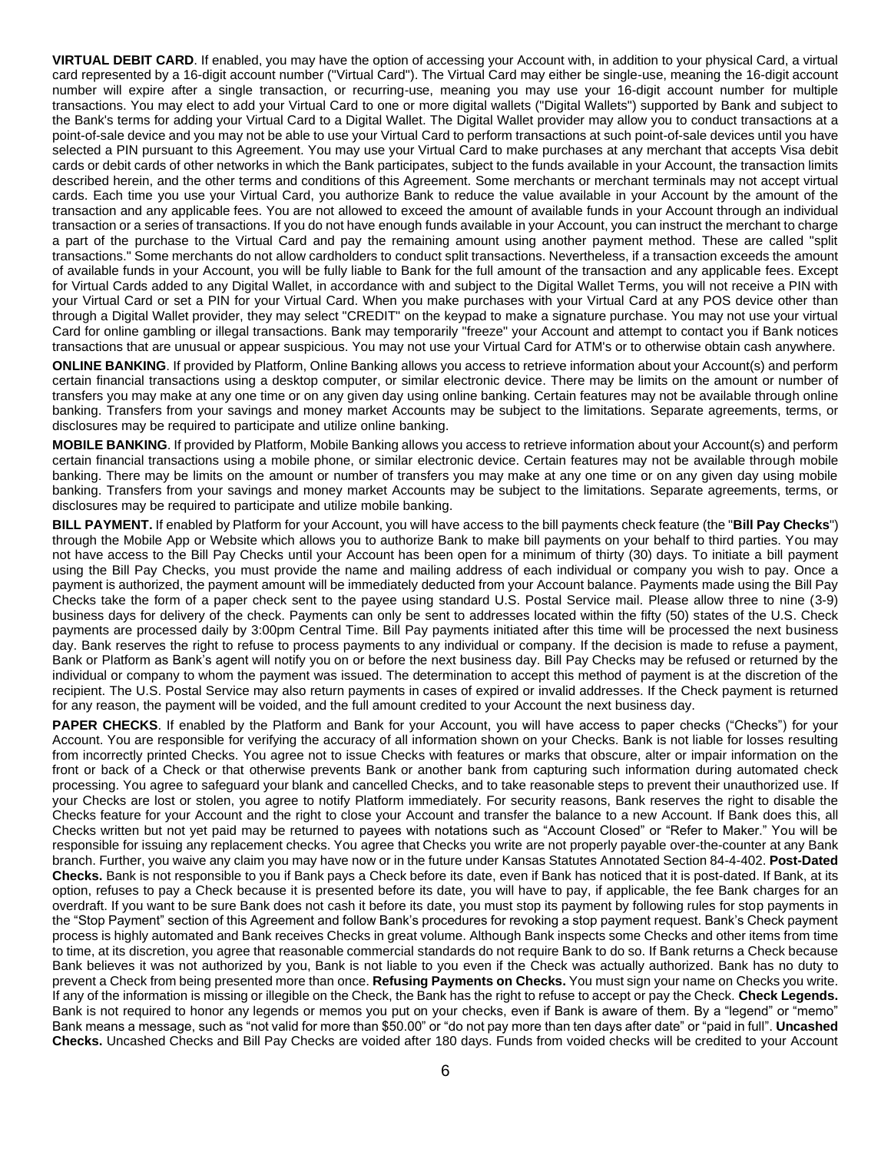**VIRTUAL DEBIT CARD**. If enabled, you may have the option of accessing your Account with, in addition to your physical Card, a virtual card represented by a 16-digit account number ("Virtual Card"). The Virtual Card may either be single-use, meaning the 16-digit account number will expire after a single transaction, or recurring-use, meaning you may use your 16-digit account number for multiple transactions. You may elect to add your Virtual Card to one or more digital wallets ("Digital Wallets") supported by Bank and subject to the Bank's terms for adding your Virtual Card to a Digital Wallet. The Digital Wallet provider may allow you to conduct transactions at a point-of-sale device and you may not be able to use your Virtual Card to perform transactions at such point-of-sale devices until you have selected a PIN pursuant to this Agreement. You may use your Virtual Card to make purchases at any merchant that accepts Visa debit cards or debit cards of other networks in which the Bank participates, subject to the funds available in your Account, the transaction limits described herein, and the other terms and conditions of this Agreement. Some merchants or merchant terminals may not accept virtual cards. Each time you use your Virtual Card, you authorize Bank to reduce the value available in your Account by the amount of the transaction and any applicable fees. You are not allowed to exceed the amount of available funds in your Account through an individual transaction or a series of transactions. If you do not have enough funds available in your Account, you can instruct the merchant to charge a part of the purchase to the Virtual Card and pay the remaining amount using another payment method. These are called "split transactions." Some merchants do not allow cardholders to conduct split transactions. Nevertheless, if a transaction exceeds the amount of available funds in your Account, you will be fully liable to Bank for the full amount of the transaction and any applicable fees. Except for Virtual Cards added to any Digital Wallet, in accordance with and subject to the Digital Wallet Terms, you will not receive a PIN with your Virtual Card or set a PIN for your Virtual Card. When you make purchases with your Virtual Card at any POS device other than through a Digital Wallet provider, they may select "CREDIT" on the keypad to make a signature purchase. You may not use your virtual Card for online gambling or illegal transactions. Bank may temporarily "freeze" your Account and attempt to contact you if Bank notices transactions that are unusual or appear suspicious. You may not use your Virtual Card for ATM's or to otherwise obtain cash anywhere.

**ONLINE BANKING**. If provided by Platform, Online Banking allows you access to retrieve information about your Account(s) and perform certain financial transactions using a desktop computer, or similar electronic device. There may be limits on the amount or number of transfers you may make at any one time or on any given day using online banking. Certain features may not be available through online banking. Transfers from your savings and money market Accounts may be subject to the limitations. Separate agreements, terms, or disclosures may be required to participate and utilize online banking.

**MOBILE BANKING**. If provided by Platform, Mobile Banking allows you access to retrieve information about your Account(s) and perform certain financial transactions using a mobile phone, or similar electronic device. Certain features may not be available through mobile banking. There may be limits on the amount or number of transfers you may make at any one time or on any given day using mobile banking. Transfers from your savings and money market Accounts may be subject to the limitations. Separate agreements, terms, or disclosures may be required to participate and utilize mobile banking.

**BILL PAYMENT.** If enabled by Platform for your Account, you will have access to the bill payments check feature (the "**Bill Pay Checks**") through the Mobile App or Website which allows you to authorize Bank to make bill payments on your behalf to third parties. You may not have access to the Bill Pay Checks until your Account has been open for a minimum of thirty (30) days. To initiate a bill payment using the Bill Pay Checks, you must provide the name and mailing address of each individual or company you wish to pay. Once a payment is authorized, the payment amount will be immediately deducted from your Account balance. Payments made using the Bill Pay Checks take the form of a paper check sent to the payee using standard U.S. Postal Service mail. Please allow three to nine (3-9) business days for delivery of the check. Payments can only be sent to addresses located within the fifty (50) states of the U.S. Check payments are processed daily by 3:00pm Central Time. Bill Pay payments initiated after this time will be processed the next business day. Bank reserves the right to refuse to process payments to any individual or company. If the decision is made to refuse a payment, Bank or Platform as Bank's agent will notify you on or before the next business day. Bill Pay Checks may be refused or returned by the individual or company to whom the payment was issued. The determination to accept this method of payment is at the discretion of the recipient. The U.S. Postal Service may also return payments in cases of expired or invalid addresses. If the Check payment is returned for any reason, the payment will be voided, and the full amount credited to your Account the next business day.

**PAPER CHECKS**. If enabled by the Platform and Bank for your Account, you will have access to paper checks ("Checks") for your Account. You are responsible for verifying the accuracy of all information shown on your Checks. Bank is not liable for losses resulting from incorrectly printed Checks. You agree not to issue Checks with features or marks that obscure, alter or impair information on the front or back of a Check or that otherwise prevents Bank or another bank from capturing such information during automated check processing. You agree to safeguard your blank and cancelled Checks, and to take reasonable steps to prevent their unauthorized use. If your Checks are lost or stolen, you agree to notify Platform immediately. For security reasons, Bank reserves the right to disable the Checks feature for your Account and the right to close your Account and transfer the balance to a new Account. If Bank does this, all Checks written but not yet paid may be returned to payees with notations such as "Account Closed" or "Refer to Maker." You will be responsible for issuing any replacement checks. You agree that Checks you write are not properly payable over-the-counter at any Bank branch. Further, you waive any claim you may have now or in the future under Kansas Statutes Annotated Section 84-4-402. **Post-Dated Checks.** Bank is not responsible to you if Bank pays a Check before its date, even if Bank has noticed that it is post-dated. If Bank, at its option, refuses to pay a Check because it is presented before its date, you will have to pay, if applicable, the fee Bank charges for an overdraft. If you want to be sure Bank does not cash it before its date, you must stop its payment by following rules for stop payments in the "Stop Payment" section of this Agreement and follow Bank's procedures for revoking a stop payment request. Bank's Check payment process is highly automated and Bank receives Checks in great volume. Although Bank inspects some Checks and other items from time to time, at its discretion, you agree that reasonable commercial standards do not require Bank to do so. If Bank returns a Check because Bank believes it was not authorized by you, Bank is not liable to you even if the Check was actually authorized. Bank has no duty to prevent a Check from being presented more than once. **Refusing Payments on Checks.** You must sign your name on Checks you write. If any of the information is missing or illegible on the Check, the Bank has the right to refuse to accept or pay the Check. **Check Legends.** Bank is not required to honor any legends or memos you put on your checks, even if Bank is aware of them. By a "legend" or "memo" Bank means a message, such as "not valid for more than \$50.00" or "do not pay more than ten days after date" or "paid in full". **Uncashed Checks.** Uncashed Checks and Bill Pay Checks are voided after 180 days. Funds from voided checks will be credited to your Account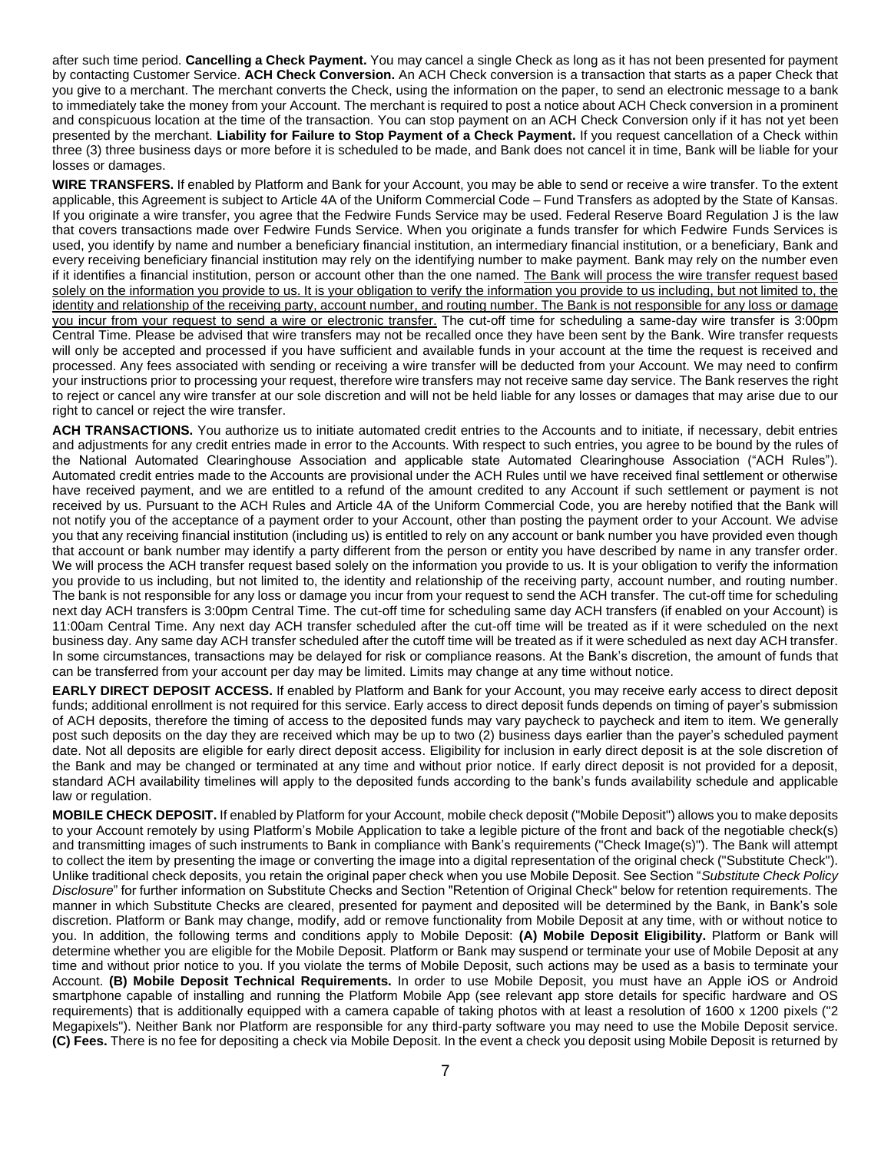after such time period. **Cancelling a Check Payment.** You may cancel a single Check as long as it has not been presented for payment by contacting Customer Service. **ACH Check Conversion.** An ACH Check conversion is a transaction that starts as a paper Check that you give to a merchant. The merchant converts the Check, using the information on the paper, to send an electronic message to a bank to immediately take the money from your Account. The merchant is required to post a notice about ACH Check conversion in a prominent and conspicuous location at the time of the transaction. You can stop payment on an ACH Check Conversion only if it has not yet been presented by the merchant. **Liability for Failure to Stop Payment of a Check Payment.** If you request cancellation of a Check within three (3) three business days or more before it is scheduled to be made, and Bank does not cancel it in time, Bank will be liable for your losses or damages.

**WIRE TRANSFERS.** If enabled by Platform and Bank for your Account, you may be able to send or receive a wire transfer. To the extent applicable, this Agreement is subject to Article 4A of the Uniform Commercial Code – Fund Transfers as adopted by the State of Kansas. If you originate a wire transfer, you agree that the Fedwire Funds Service may be used. Federal Reserve Board Regulation J is the law that covers transactions made over Fedwire Funds Service. When you originate a funds transfer for which Fedwire Funds Services is used, you identify by name and number a beneficiary financial institution, an intermediary financial institution, or a beneficiary, Bank and every receiving beneficiary financial institution may rely on the identifying number to make payment. Bank may rely on the number even if it identifies a financial institution, person or account other than the one named. The Bank will process the wire transfer request based solely on the information you provide to us. It is your obligation to verify the information you provide to us including, but not limited to, the identity and relationship of the receiving party, account number, and routing number. The Bank is not responsible for any loss or damage you incur from your request to send a wire or electronic transfer. The cut-off time for scheduling a same-day wire transfer is 3:00pm Central Time. Please be advised that wire transfers may not be recalled once they have been sent by the Bank. Wire transfer requests will only be accepted and processed if you have sufficient and available funds in your account at the time the request is received and processed. Any fees associated with sending or receiving a wire transfer will be deducted from your Account. We may need to confirm your instructions prior to processing your request, therefore wire transfers may not receive same day service. The Bank reserves the right to reject or cancel any wire transfer at our sole discretion and will not be held liable for any losses or damages that may arise due to our right to cancel or reject the wire transfer.

**ACH TRANSACTIONS.** You authorize us to initiate automated credit entries to the Accounts and to initiate, if necessary, debit entries and adjustments for any credit entries made in error to the Accounts. With respect to such entries, you agree to be bound by the rules of the National Automated Clearinghouse Association and applicable state Automated Clearinghouse Association ("ACH Rules"). Automated credit entries made to the Accounts are provisional under the ACH Rules until we have received final settlement or otherwise have received payment, and we are entitled to a refund of the amount credited to any Account if such settlement or payment is not received by us. Pursuant to the ACH Rules and Article 4A of the Uniform Commercial Code, you are hereby notified that the Bank will not notify you of the acceptance of a payment order to your Account, other than posting the payment order to your Account. We advise you that any receiving financial institution (including us) is entitled to rely on any account or bank number you have provided even though that account or bank number may identify a party different from the person or entity you have described by name in any transfer order. We will process the ACH transfer request based solely on the information you provide to us. It is your obligation to verify the information you provide to us including, but not limited to, the identity and relationship of the receiving party, account number, and routing number. The bank is not responsible for any loss or damage you incur from your request to send the ACH transfer. The cut-off time for scheduling next day ACH transfers is 3:00pm Central Time. The cut-off time for scheduling same day ACH transfers (if enabled on your Account) is 11:00am Central Time. Any next day ACH transfer scheduled after the cut-off time will be treated as if it were scheduled on the next business day. Any same day ACH transfer scheduled after the cutoff time will be treated as if it were scheduled as next day ACH transfer. In some circumstances, transactions may be delayed for risk or compliance reasons. At the Bank's discretion, the amount of funds that can be transferred from your account per day may be limited. Limits may change at any time without notice.

**EARLY DIRECT DEPOSIT ACCESS.** If enabled by Platform and Bank for your Account, you may receive early access to direct deposit funds; additional enrollment is not required for this service. Early access to direct deposit funds depends on timing of payer's submission of ACH deposits, therefore the timing of access to the deposited funds may vary paycheck to paycheck and item to item. We generally post such deposits on the day they are received which may be up to two (2) business days earlier than the payer's scheduled payment date. Not all deposits are eligible for early direct deposit access. Eligibility for inclusion in early direct deposit is at the sole discretion of the Bank and may be changed or terminated at any time and without prior notice. If early direct deposit is not provided for a deposit, standard ACH availability timelines will apply to the deposited funds according to the bank's funds availability schedule and applicable law or regulation.

**MOBILE CHECK DEPOSIT.** If enabled by Platform for your Account, mobile check deposit ("Mobile Deposit") allows you to make deposits to your Account remotely by using Platform's Mobile Application to take a legible picture of the front and back of the negotiable check(s) and transmitting images of such instruments to Bank in compliance with Bank's requirements ("Check Image(s)"). The Bank will attempt to collect the item by presenting the image or converting the image into a digital representation of the original check ("Substitute Check"). Unlike traditional check deposits, you retain the original paper check when you use Mobile Deposit. See Section "*Substitute Check Policy Disclosure*" for further information on Substitute Checks and Section "Retention of Original Check" below for retention requirements. The manner in which Substitute Checks are cleared, presented for payment and deposited will be determined by the Bank, in Bank's sole discretion. Platform or Bank may change, modify, add or remove functionality from Mobile Deposit at any time, with or without notice to you. In addition, the following terms and conditions apply to Mobile Deposit: **(A) Mobile Deposit Eligibility.** Platform or Bank will determine whether you are eligible for the Mobile Deposit. Platform or Bank may suspend or terminate your use of Mobile Deposit at any time and without prior notice to you. If you violate the terms of Mobile Deposit, such actions may be used as a basis to terminate your Account. **(B) Mobile Deposit Technical Requirements.** In order to use Mobile Deposit, you must have an Apple iOS or Android smartphone capable of installing and running the Platform Mobile App (see relevant app store details for specific hardware and OS requirements) that is additionally equipped with a camera capable of taking photos with at least a resolution of 1600 x 1200 pixels ("2 Megapixels"). Neither Bank nor Platform are responsible for any third-party software you may need to use the Mobile Deposit service. **(C) Fees.** There is no fee for depositing a check via Mobile Deposit. In the event a check you deposit using Mobile Deposit is returned by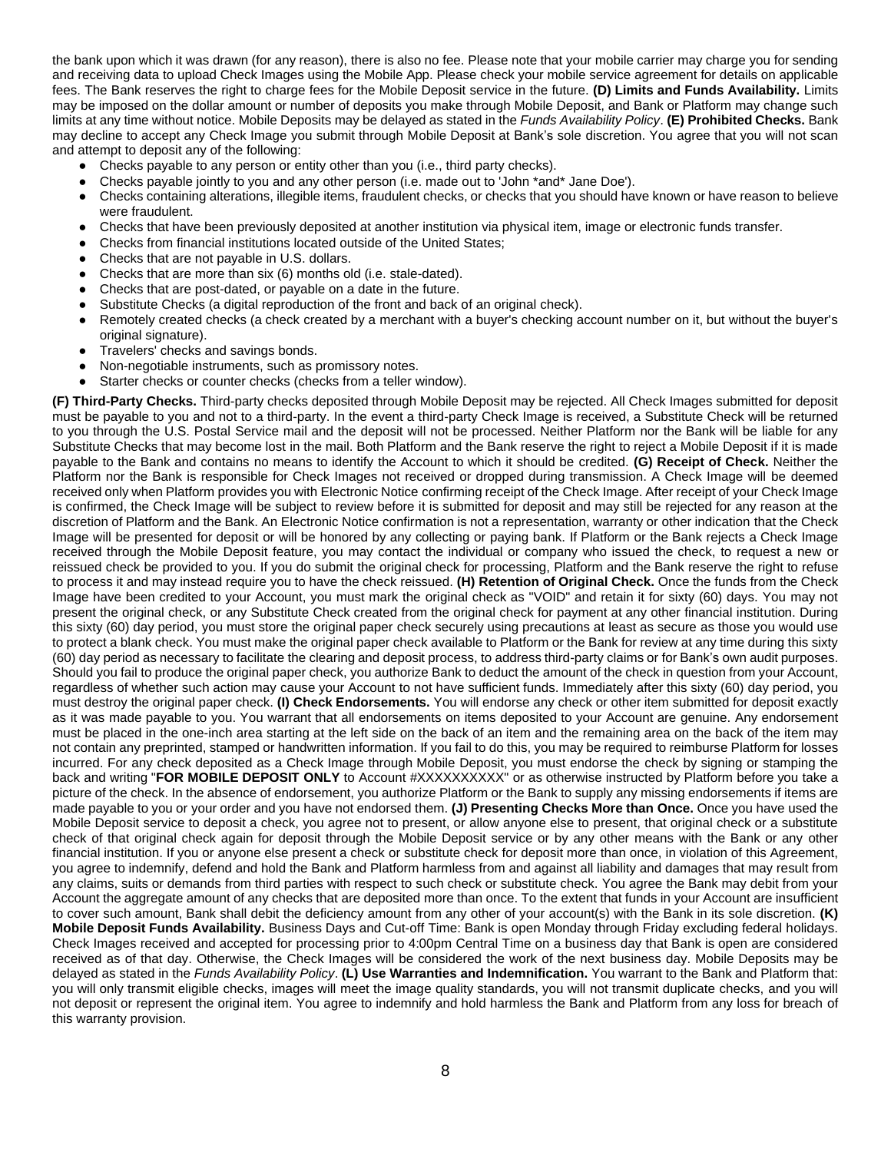the bank upon which it was drawn (for any reason), there is also no fee. Please note that your mobile carrier may charge you for sending and receiving data to upload Check Images using the Mobile App. Please check your mobile service agreement for details on applicable fees. The Bank reserves the right to charge fees for the Mobile Deposit service in the future. **(D) Limits and Funds Availability.** Limits may be imposed on the dollar amount or number of deposits you make through Mobile Deposit, and Bank or Platform may change such limits at any time without notice. Mobile Deposits may be delayed as stated in the *Funds Availability Policy*. **(E) Prohibited Checks.** Bank may decline to accept any Check Image you submit through Mobile Deposit at Bank's sole discretion. You agree that you will not scan and attempt to deposit any of the following:

- Checks payable to any person or entity other than you (i.e., third party checks).
- Checks payable jointly to you and any other person (i.e. made out to 'John \*and\* Jane Doe').
- Checks containing alterations, illegible items, fraudulent checks, or checks that you should have known or have reason to believe were fraudulent.
- Checks that have been previously deposited at another institution via physical item, image or electronic funds transfer.
- Checks from financial institutions located outside of the United States;
- Checks that are not payable in U.S. dollars.
- Checks that are more than six (6) months old (i.e. stale-dated).
- Checks that are post-dated, or payable on a date in the future.
- Substitute Checks (a digital reproduction of the front and back of an original check).
- Remotely created checks (a check created by a merchant with a buyer's checking account number on it, but without the buyer's original signature).
- Travelers' checks and savings bonds.
- Non-negotiable instruments, such as promissory notes.
- Starter checks or counter checks (checks from a teller window).

**(F) Third-Party Checks.** Third-party checks deposited through Mobile Deposit may be rejected. All Check Images submitted for deposit must be payable to you and not to a third-party. In the event a third-party Check Image is received, a Substitute Check will be returned to you through the U.S. Postal Service mail and the deposit will not be processed. Neither Platform nor the Bank will be liable for any Substitute Checks that may become lost in the mail. Both Platform and the Bank reserve the right to reject a Mobile Deposit if it is made payable to the Bank and contains no means to identify the Account to which it should be credited. **(G) Receipt of Check.** Neither the Platform nor the Bank is responsible for Check Images not received or dropped during transmission. A Check Image will be deemed received only when Platform provides you with Electronic Notice confirming receipt of the Check Image. After receipt of your Check Image is confirmed, the Check Image will be subject to review before it is submitted for deposit and may still be rejected for any reason at the discretion of Platform and the Bank. An Electronic Notice confirmation is not a representation, warranty or other indication that the Check Image will be presented for deposit or will be honored by any collecting or paying bank. If Platform or the Bank rejects a Check Image received through the Mobile Deposit feature, you may contact the individual or company who issued the check, to request a new or reissued check be provided to you. If you do submit the original check for processing, Platform and the Bank reserve the right to refuse to process it and may instead require you to have the check reissued. **(H) Retention of Original Check.** Once the funds from the Check Image have been credited to your Account, you must mark the original check as "VOID" and retain it for sixty (60) days. You may not present the original check, or any Substitute Check created from the original check for payment at any other financial institution. During this sixty (60) day period, you must store the original paper check securely using precautions at least as secure as those you would use to protect a blank check. You must make the original paper check available to Platform or the Bank for review at any time during this sixty (60) day period as necessary to facilitate the clearing and deposit process, to address third-party claims or for Bank's own audit purposes. Should you fail to produce the original paper check, you authorize Bank to deduct the amount of the check in question from your Account, regardless of whether such action may cause your Account to not have sufficient funds. Immediately after this sixty (60) day period, you must destroy the original paper check. **(I) Check Endorsements.** You will endorse any check or other item submitted for deposit exactly as it was made payable to you. You warrant that all endorsements on items deposited to your Account are genuine. Any endorsement must be placed in the one-inch area starting at the left side on the back of an item and the remaining area on the back of the item may not contain any preprinted, stamped or handwritten information. If you fail to do this, you may be required to reimburse Platform for losses incurred. For any check deposited as a Check Image through Mobile Deposit, you must endorse the check by signing or stamping the back and writing "**FOR MOBILE DEPOSIT ONLY** to Account #XXXXXXXXXX" or as otherwise instructed by Platform before you take a picture of the check. In the absence of endorsement, you authorize Platform or the Bank to supply any missing endorsements if items are made payable to you or your order and you have not endorsed them. **(J) Presenting Checks More than Once.** Once you have used the Mobile Deposit service to deposit a check, you agree not to present, or allow anyone else to present, that original check or a substitute check of that original check again for deposit through the Mobile Deposit service or by any other means with the Bank or any other financial institution. If you or anyone else present a check or substitute check for deposit more than once, in violation of this Agreement, you agree to indemnify, defend and hold the Bank and Platform harmless from and against all liability and damages that may result from any claims, suits or demands from third parties with respect to such check or substitute check. You agree the Bank may debit from your Account the aggregate amount of any checks that are deposited more than once. To the extent that funds in your Account are insufficient to cover such amount, Bank shall debit the deficiency amount from any other of your account(s) with the Bank in its sole discretion. **(K) Mobile Deposit Funds Availability.** Business Days and Cut-off Time: Bank is open Monday through Friday excluding federal holidays. Check Images received and accepted for processing prior to 4:00pm Central Time on a business day that Bank is open are considered received as of that day. Otherwise, the Check Images will be considered the work of the next business day. Mobile Deposits may be delayed as stated in the *Funds Availability Policy*. **(L) Use Warranties and Indemnification.** You warrant to the Bank and Platform that: you will only transmit eligible checks, images will meet the image quality standards, you will not transmit duplicate checks, and you will not deposit or represent the original item. You agree to indemnify and hold harmless the Bank and Platform from any loss for breach of this warranty provision.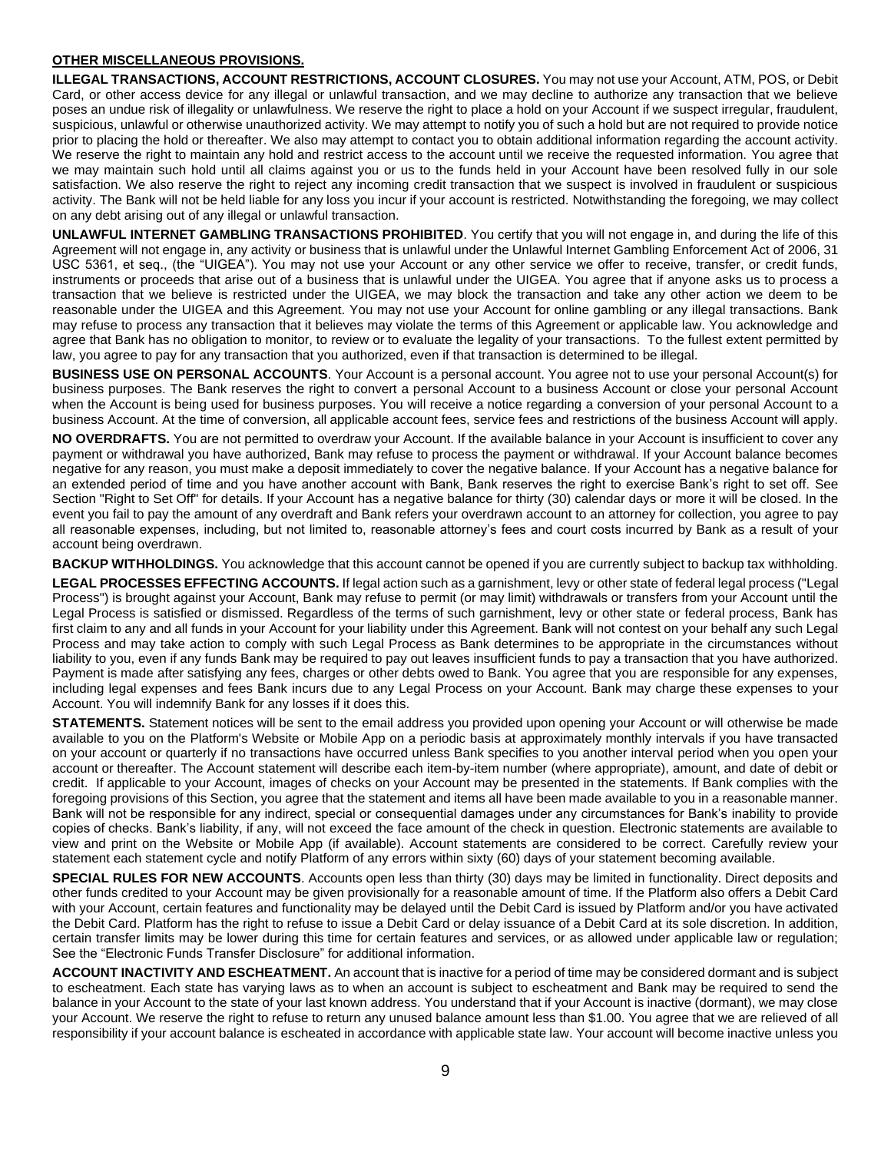#### **OTHER MISCELLANEOUS PROVISIONS.**

**ILLEGAL TRANSACTIONS, ACCOUNT RESTRICTIONS, ACCOUNT CLOSURES.** You may not use your Account, ATM, POS, or Debit Card, or other access device for any illegal or unlawful transaction, and we may decline to authorize any transaction that we believe poses an undue risk of illegality or unlawfulness. We reserve the right to place a hold on your Account if we suspect irregular, fraudulent, suspicious, unlawful or otherwise unauthorized activity. We may attempt to notify you of such a hold but are not required to provide notice prior to placing the hold or thereafter. We also may attempt to contact you to obtain additional information regarding the account activity. We reserve the right to maintain any hold and restrict access to the account until we receive the requested information. You agree that we may maintain such hold until all claims against you or us to the funds held in your Account have been resolved fully in our sole satisfaction. We also reserve the right to reject any incoming credit transaction that we suspect is involved in fraudulent or suspicious activity. The Bank will not be held liable for any loss you incur if your account is restricted. Notwithstanding the foregoing, we may collect on any debt arising out of any illegal or unlawful transaction.

**UNLAWFUL INTERNET GAMBLING TRANSACTIONS PROHIBITED**. You certify that you will not engage in, and during the life of this Agreement will not engage in, any activity or business that is unlawful under the Unlawful Internet Gambling Enforcement Act of 2006, 31 USC 5361, et seq., (the "UIGEA"). You may not use your Account or any other service we offer to receive, transfer, or credit funds, instruments or proceeds that arise out of a business that is unlawful under the UIGEA. You agree that if anyone asks us to process a transaction that we believe is restricted under the UIGEA, we may block the transaction and take any other action we deem to be reasonable under the UIGEA and this Agreement. You may not use your Account for online gambling or any illegal transactions. Bank may refuse to process any transaction that it believes may violate the terms of this Agreement or applicable law. You acknowledge and agree that Bank has no obligation to monitor, to review or to evaluate the legality of your transactions. To the fullest extent permitted by law, you agree to pay for any transaction that you authorized, even if that transaction is determined to be illegal.

**BUSINESS USE ON PERSONAL ACCOUNTS**. Your Account is a personal account. You agree not to use your personal Account(s) for business purposes. The Bank reserves the right to convert a personal Account to a business Account or close your personal Account when the Account is being used for business purposes. You will receive a notice regarding a conversion of your personal Account to a business Account. At the time of conversion, all applicable account fees, service fees and restrictions of the business Account will apply.

**NO OVERDRAFTS.** You are not permitted to overdraw your Account. If the available balance in your Account is insufficient to cover any payment or withdrawal you have authorized, Bank may refuse to process the payment or withdrawal. If your Account balance becomes negative for any reason, you must make a deposit immediately to cover the negative balance. If your Account has a negative balance for an extended period of time and you have another account with Bank, Bank reserves the right to exercise Bank's right to set off. See Section "Right to Set Off" for details. If your Account has a negative balance for thirty (30) calendar days or more it will be closed. In the event you fail to pay the amount of any overdraft and Bank refers your overdrawn account to an attorney for collection, you agree to pay all reasonable expenses, including, but not limited to, reasonable attorney's fees and court costs incurred by Bank as a result of your account being overdrawn.

**BACKUP WITHHOLDINGS.** You acknowledge that this account cannot be opened if you are currently subject to backup tax withholding.

**LEGAL PROCESSES EFFECTING ACCOUNTS.** If legal action such as a garnishment, levy or other state of federal legal process ("Legal Process") is brought against your Account, Bank may refuse to permit (or may limit) withdrawals or transfers from your Account until the Legal Process is satisfied or dismissed. Regardless of the terms of such garnishment, levy or other state or federal process, Bank has first claim to any and all funds in your Account for your liability under this Agreement. Bank will not contest on your behalf any such Legal Process and may take action to comply with such Legal Process as Bank determines to be appropriate in the circumstances without liability to you, even if any funds Bank may be required to pay out leaves insufficient funds to pay a transaction that you have authorized. Payment is made after satisfying any fees, charges or other debts owed to Bank. You agree that you are responsible for any expenses, including legal expenses and fees Bank incurs due to any Legal Process on your Account. Bank may charge these expenses to your Account. You will indemnify Bank for any losses if it does this.

**STATEMENTS.** Statement notices will be sent to the email address you provided upon opening your Account or will otherwise be made available to you on the Platform's Website or Mobile App on a periodic basis at approximately monthly intervals if you have transacted on your account or quarterly if no transactions have occurred unless Bank specifies to you another interval period when you open your account or thereafter. The Account statement will describe each item-by-item number (where appropriate), amount, and date of debit or credit. If applicable to your Account, images of checks on your Account may be presented in the statements. If Bank complies with the foregoing provisions of this Section, you agree that the statement and items all have been made available to you in a reasonable manner. Bank will not be responsible for any indirect, special or consequential damages under any circumstances for Bank's inability to provide copies of checks. Bank's liability, if any, will not exceed the face amount of the check in question. Electronic statements are available to view and print on the Website or Mobile App (if available). Account statements are considered to be correct. Carefully review your statement each statement cycle and notify Platform of any errors within sixty (60) days of your statement becoming available.

**SPECIAL RULES FOR NEW ACCOUNTS**. Accounts open less than thirty (30) days may be limited in functionality. Direct deposits and other funds credited to your Account may be given provisionally for a reasonable amount of time. If the Platform also offers a Debit Card with your Account, certain features and functionality may be delayed until the Debit Card is issued by Platform and/or you have activated the Debit Card. Platform has the right to refuse to issue a Debit Card or delay issuance of a Debit Card at its sole discretion. In addition, certain transfer limits may be lower during this time for certain features and services, or as allowed under applicable law or regulation; See the "Electronic Funds Transfer Disclosure" for additional information.

**ACCOUNT INACTIVITY AND ESCHEATMENT.** An account that is inactive for a period of time may be considered dormant and is subject to escheatment. Each state has varying laws as to when an account is subject to escheatment and Bank may be required to send the balance in your Account to the state of your last known address. You understand that if your Account is inactive (dormant), we may close your Account. We reserve the right to refuse to return any unused balance amount less than \$1.00. You agree that we are relieved of all responsibility if your account balance is escheated in accordance with applicable state law. Your account will become inactive unless you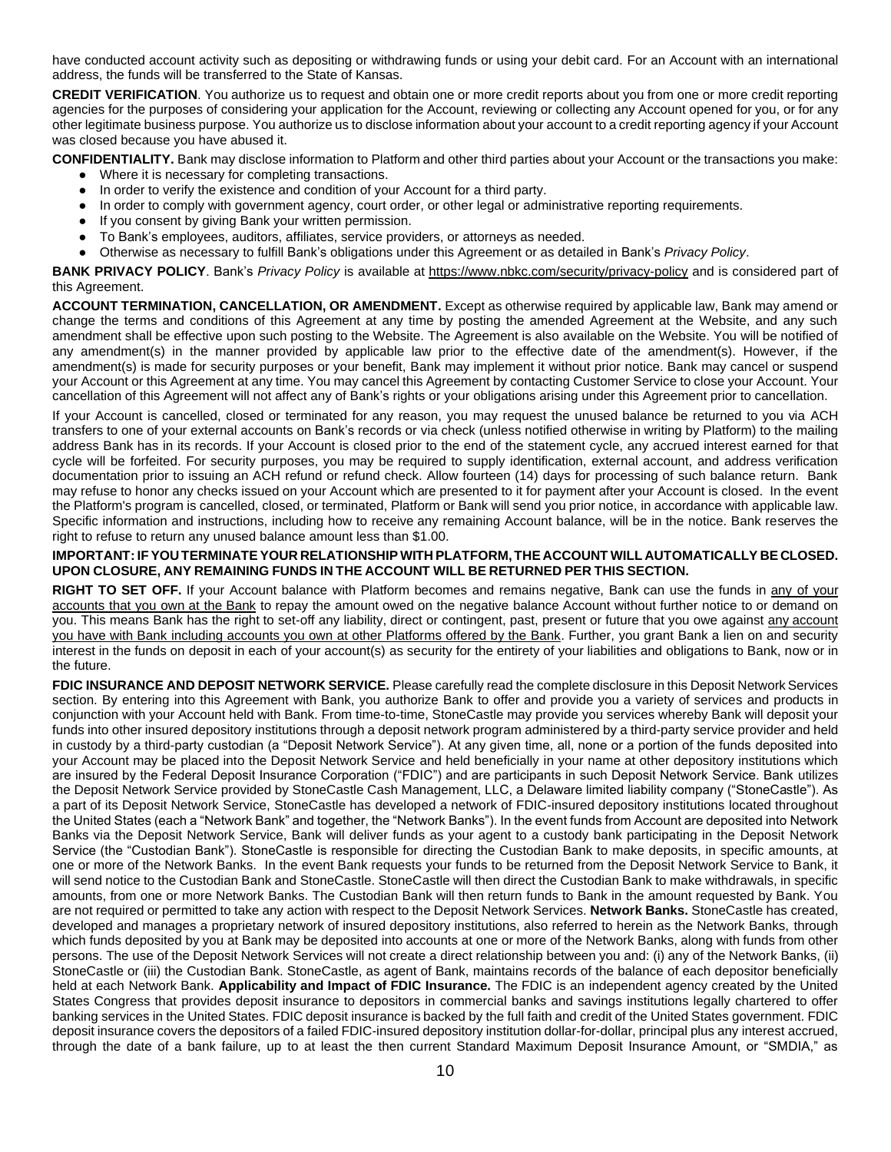have conducted account activity such as depositing or withdrawing funds or using your debit card. For an Account with an international address, the funds will be transferred to the State of Kansas.

**CREDIT VERIFICATION**. You authorize us to request and obtain one or more credit reports about you from one or more credit reporting agencies for the purposes of considering your application for the Account, reviewing or collecting any Account opened for you, or for any other legitimate business purpose. You authorize us to disclose information about your account to a credit reporting agency if your Account was closed because you have abused it.

**CONFIDENTIALITY.** Bank may disclose information to Platform and other third parties about your Account or the transactions you make:

- Where it is necessary for completing transactions.
- In order to verify the existence and condition of your Account for a third party.
- In order to comply with government agency, court order, or other legal or administrative reporting requirements.
- If you consent by giving Bank your written permission.
- To Bank's employees, auditors, affiliates, service providers, or attorneys as needed.
- Otherwise as necessary to fulfill Bank's obligations under this Agreement or as detailed in Bank's *Privacy Policy*.

**BANK PRIVACY POLICY**. Bank's *Privacy Policy* is available a[t https://www.nbkc.com/security/privacy-policy](https://www.nbkc.com/security/privacy-policy) and is considered part of this Agreement.

**ACCOUNT TERMINATION, CANCELLATION, OR AMENDMENT.** Except as otherwise required by applicable law, Bank may amend or change the terms and conditions of this Agreement at any time by posting the amended Agreement at the Website, and any such amendment shall be effective upon such posting to the Website. The Agreement is also available on the Website. You will be notified of any amendment(s) in the manner provided by applicable law prior to the effective date of the amendment(s). However, if the amendment(s) is made for security purposes or your benefit, Bank may implement it without prior notice. Bank may cancel or suspend your Account or this Agreement at any time. You may cancel this Agreement by contacting Customer Service to close your Account. Your cancellation of this Agreement will not affect any of Bank's rights or your obligations arising under this Agreement prior to cancellation.

If your Account is cancelled, closed or terminated for any reason, you may request the unused balance be returned to you via ACH transfers to one of your external accounts on Bank's records or via check (unless notified otherwise in writing by Platform) to the mailing address Bank has in its records. If your Account is closed prior to the end of the statement cycle, any accrued interest earned for that cycle will be forfeited. For security purposes, you may be required to supply identification, external account, and address verification documentation prior to issuing an ACH refund or refund check. Allow fourteen (14) days for processing of such balance return. Bank may refuse to honor any checks issued on your Account which are presented to it for payment after your Account is closed. In the event the Platform's program is cancelled, closed, or terminated, Platform or Bank will send you prior notice, in accordance with applicable law. Specific information and instructions, including how to receive any remaining Account balance, will be in the notice. Bank reserves the right to refuse to return any unused balance amount less than \$1.00.

### **IMPORTANT: IF YOUTERMINATE YOUR RELATIONSHIP WITH PLATFORM,THE ACCOUNT WILL AUTOMATICALLY BE CLOSED. UPON CLOSURE, ANY REMAINING FUNDS IN THE ACCOUNT WILL BE RETURNED PER THIS SECTION.**

RIGHT TO SET OFF. If your Account balance with Platform becomes and remains negative, Bank can use the funds in any of your accounts that you own at the Bank to repay the amount owed on the negative balance Account without further notice to or demand on you. This means Bank has the right to set-off any liability, direct or contingent, past, present or future that you owe against any account you have with Bank including accounts you own at other Platforms offered by the Bank. Further, you grant Bank a lien on and security interest in the funds on deposit in each of your account(s) as security for the entirety of your liabilities and obligations to Bank, now or in the future.

**FDIC INSURANCE AND DEPOSIT NETWORK SERVICE.** Please carefully read the complete disclosure in this Deposit Network Services section. By entering into this Agreement with Bank, you authorize Bank to offer and provide you a variety of services and products in conjunction with your Account held with Bank. From time-to-time, StoneCastle may provide you services whereby Bank will deposit your funds into other insured depository institutions through a deposit network program administered by a third-party service provider and held in custody by a third-party custodian (a "Deposit Network Service"). At any given time, all, none or a portion of the funds deposited into your Account may be placed into the Deposit Network Service and held beneficially in your name at other depository institutions which are insured by the Federal Deposit Insurance Corporation ("FDIC") and are participants in such Deposit Network Service. Bank utilizes the Deposit Network Service provided by StoneCastle Cash Management, LLC, a Delaware limited liability company ("StoneCastle"). As a part of its Deposit Network Service, StoneCastle has developed a network of FDIC-insured depository institutions located throughout the United States (each a "Network Bank" and together, the "Network Banks"). In the event funds from Account are deposited into Network Banks via the Deposit Network Service, Bank will deliver funds as your agent to a custody bank participating in the Deposit Network Service (the "Custodian Bank"). StoneCastle is responsible for directing the Custodian Bank to make deposits, in specific amounts, at one or more of the Network Banks. In the event Bank requests your funds to be returned from the Deposit Network Service to Bank, it will send notice to the Custodian Bank and StoneCastle. StoneCastle will then direct the Custodian Bank to make withdrawals, in specific amounts, from one or more Network Banks. The Custodian Bank will then return funds to Bank in the amount requested by Bank. You are not required or permitted to take any action with respect to the Deposit Network Services. **Network Banks.** StoneCastle has created, developed and manages a proprietary network of insured depository institutions, also referred to herein as the Network Banks, through which funds deposited by you at Bank may be deposited into accounts at one or more of the Network Banks, along with funds from other persons. The use of the Deposit Network Services will not create a direct relationship between you and: (i) any of the Network Banks, (ii) StoneCastle or (iii) the Custodian Bank. StoneCastle, as agent of Bank, maintains records of the balance of each depositor beneficially held at each Network Bank. **Applicability and Impact of FDIC Insurance.** The FDIC is an independent agency created by the United States Congress that provides deposit insurance to depositors in commercial banks and savings institutions legally chartered to offer banking services in the United States. FDIC deposit insurance is backed by the full faith and credit of the United States government. FDIC deposit insurance covers the depositors of a failed FDIC-insured depository institution dollar-for-dollar, principal plus any interest accrued, through the date of a bank failure, up to at least the then current Standard Maximum Deposit Insurance Amount, or "SMDIA," as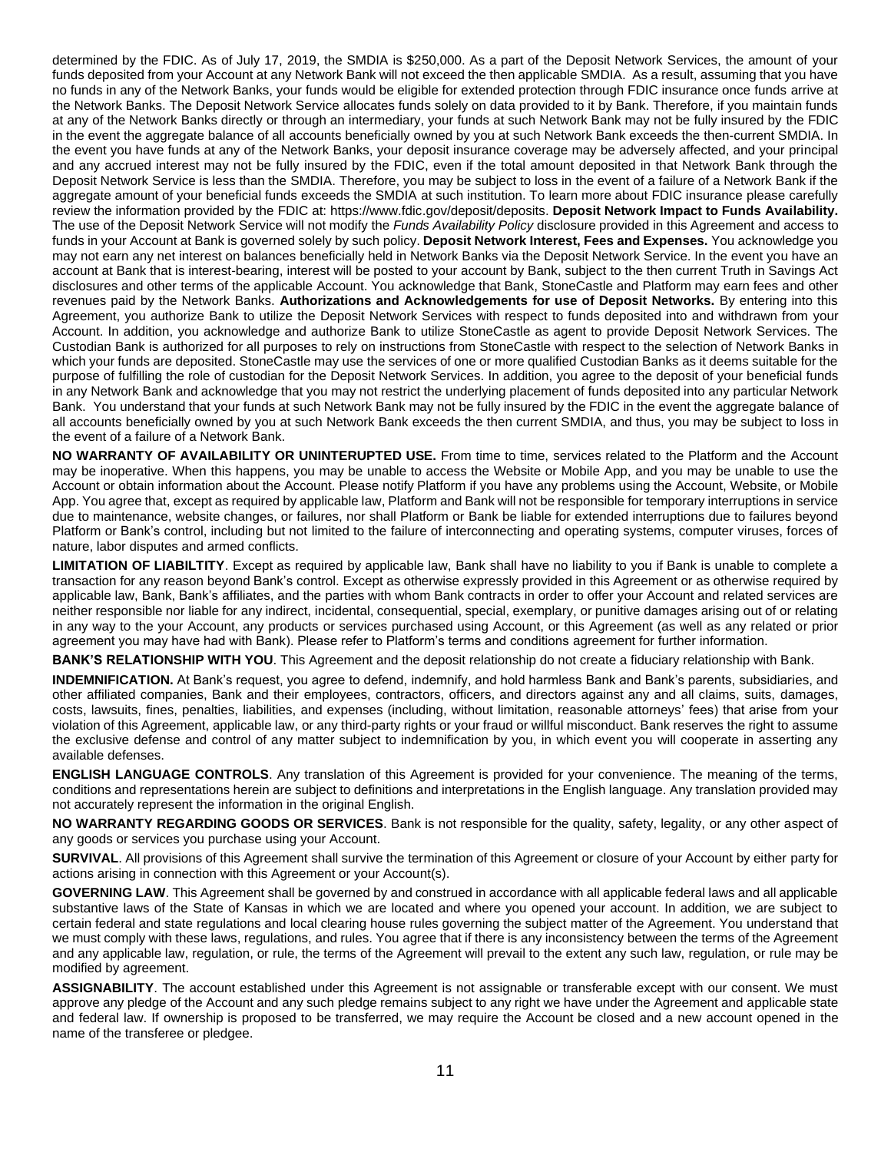determined by the FDIC. As of July 17, 2019, the SMDIA is \$250,000. As a part of the Deposit Network Services, the amount of your funds deposited from your Account at any Network Bank will not exceed the then applicable SMDIA. As a result, assuming that you have no funds in any of the Network Banks, your funds would be eligible for extended protection through FDIC insurance once funds arrive at the Network Banks. The Deposit Network Service allocates funds solely on data provided to it by Bank. Therefore, if you maintain funds at any of the Network Banks directly or through an intermediary, your funds at such Network Bank may not be fully insured by the FDIC in the event the aggregate balance of all accounts beneficially owned by you at such Network Bank exceeds the then-current SMDIA. In the event you have funds at any of the Network Banks, your deposit insurance coverage may be adversely affected, and your principal and any accrued interest may not be fully insured by the FDIC, even if the total amount deposited in that Network Bank through the Deposit Network Service is less than the SMDIA. Therefore, you may be subject to loss in the event of a failure of a Network Bank if the aggregate amount of your beneficial funds exceeds the SMDIA at such institution. To learn more about FDIC insurance please carefully review the information provided by the FDIC at: https://www.fdic.gov/deposit/deposits. **Deposit Network Impact to Funds Availability.**  The use of the Deposit Network Service will not modify the *Funds Availability Policy* disclosure provided in this Agreement and access to funds in your Account at Bank is governed solely by such policy. **Deposit Network Interest, Fees and Expenses.** You acknowledge you may not earn any net interest on balances beneficially held in Network Banks via the Deposit Network Service. In the event you have an account at Bank that is interest-bearing, interest will be posted to your account by Bank, subject to the then current Truth in Savings Act disclosures and other terms of the applicable Account. You acknowledge that Bank, StoneCastle and Platform may earn fees and other revenues paid by the Network Banks. **Authorizations and Acknowledgements for use of Deposit Networks.** By entering into this Agreement, you authorize Bank to utilize the Deposit Network Services with respect to funds deposited into and withdrawn from your Account. In addition, you acknowledge and authorize Bank to utilize StoneCastle as agent to provide Deposit Network Services. The Custodian Bank is authorized for all purposes to rely on instructions from StoneCastle with respect to the selection of Network Banks in which your funds are deposited. StoneCastle may use the services of one or more qualified Custodian Banks as it deems suitable for the purpose of fulfilling the role of custodian for the Deposit Network Services. In addition, you agree to the deposit of your beneficial funds in any Network Bank and acknowledge that you may not restrict the underlying placement of funds deposited into any particular Network Bank. You understand that your funds at such Network Bank may not be fully insured by the FDIC in the event the aggregate balance of all accounts beneficially owned by you at such Network Bank exceeds the then current SMDIA, and thus, you may be subject to loss in the event of a failure of a Network Bank.

**NO WARRANTY OF AVAILABILITY OR UNINTERUPTED USE.** From time to time, services related to the Platform and the Account may be inoperative. When this happens, you may be unable to access the Website or Mobile App, and you may be unable to use the Account or obtain information about the Account. Please notify Platform if you have any problems using the Account, Website, or Mobile App. You agree that, except as required by applicable law, Platform and Bank will not be responsible for temporary interruptions in service due to maintenance, website changes, or failures, nor shall Platform or Bank be liable for extended interruptions due to failures beyond Platform or Bank's control, including but not limited to the failure of interconnecting and operating systems, computer viruses, forces of nature, labor disputes and armed conflicts.

**LIMITATION OF LIABILTITY**. Except as required by applicable law, Bank shall have no liability to you if Bank is unable to complete a transaction for any reason beyond Bank's control. Except as otherwise expressly provided in this Agreement or as otherwise required by applicable law, Bank, Bank's affiliates, and the parties with whom Bank contracts in order to offer your Account and related services are neither responsible nor liable for any indirect, incidental, consequential, special, exemplary, or punitive damages arising out of or relating in any way to the your Account, any products or services purchased using Account, or this Agreement (as well as any related or prior agreement you may have had with Bank). Please refer to Platform's terms and conditions agreement for further information.

**BANK'S RELATIONSHIP WITH YOU**. This Agreement and the deposit relationship do not create a fiduciary relationship with Bank.

**INDEMNIFICATION.** At Bank's request, you agree to defend, indemnify, and hold harmless Bank and Bank's parents, subsidiaries, and other affiliated companies, Bank and their employees, contractors, officers, and directors against any and all claims, suits, damages, costs, lawsuits, fines, penalties, liabilities, and expenses (including, without limitation, reasonable attorneys' fees) that arise from your violation of this Agreement, applicable law, or any third-party rights or your fraud or willful misconduct. Bank reserves the right to assume the exclusive defense and control of any matter subject to indemnification by you, in which event you will cooperate in asserting any available defenses.

**ENGLISH LANGUAGE CONTROLS**. Any translation of this Agreement is provided for your convenience. The meaning of the terms, conditions and representations herein are subject to definitions and interpretations in the English language. Any translation provided may not accurately represent the information in the original English.

**NO WARRANTY REGARDING GOODS OR SERVICES**. Bank is not responsible for the quality, safety, legality, or any other aspect of any goods or services you purchase using your Account.

**SURVIVAL**. All provisions of this Agreement shall survive the termination of this Agreement or closure of your Account by either party for actions arising in connection with this Agreement or your Account(s).

**GOVERNING LAW**. This Agreement shall be governed by and construed in accordance with all applicable federal laws and all applicable substantive laws of the State of Kansas in which we are located and where you opened your account. In addition, we are subject to certain federal and state regulations and local clearing house rules governing the subject matter of the Agreement. You understand that we must comply with these laws, regulations, and rules. You agree that if there is any inconsistency between the terms of the Agreement and any applicable law, regulation, or rule, the terms of the Agreement will prevail to the extent any such law, regulation, or rule may be modified by agreement.

**ASSIGNABILITY**. The account established under this Agreement is not assignable or transferable except with our consent. We must approve any pledge of the Account and any such pledge remains subject to any right we have under the Agreement and applicable state and federal law. If ownership is proposed to be transferred, we may require the Account be closed and a new account opened in the name of the transferee or pledgee.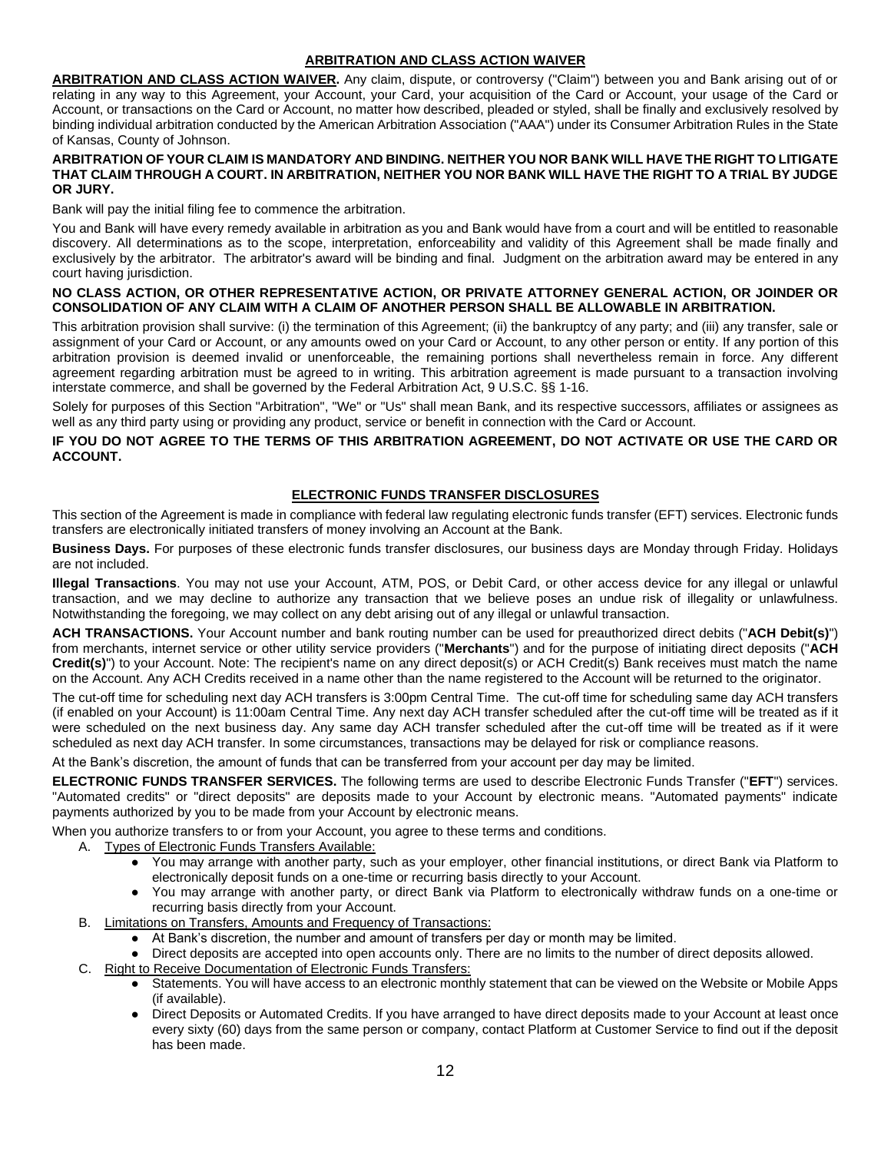### **ARBITRATION AND CLASS ACTION WAIVER**

**ARBITRATION AND CLASS ACTION WAIVER.** Any claim, dispute, or controversy ("Claim") between you and Bank arising out of or relating in any way to this Agreement, your Account, your Card, your acquisition of the Card or Account, your usage of the Card or Account, or transactions on the Card or Account, no matter how described, pleaded or styled, shall be finally and exclusively resolved by binding individual arbitration conducted by the American Arbitration Association ("AAA") under its Consumer Arbitration Rules in the State of Kansas, County of Johnson.

#### **ARBITRATION OF YOUR CLAIM IS MANDATORY AND BINDING. NEITHER YOU NOR BANK WILL HAVE THE RIGHT TO LITIGATE THAT CLAIM THROUGH A COURT. IN ARBITRATION, NEITHER YOU NOR BANK WILL HAVE THE RIGHT TO A TRIAL BY JUDGE OR JURY.**

Bank will pay the initial filing fee to commence the arbitration.

You and Bank will have every remedy available in arbitration as you and Bank would have from a court and will be entitled to reasonable discovery. All determinations as to the scope, interpretation, enforceability and validity of this Agreement shall be made finally and exclusively by the arbitrator. The arbitrator's award will be binding and final. Judgment on the arbitration award may be entered in any court having jurisdiction.

#### **NO CLASS ACTION, OR OTHER REPRESENTATIVE ACTION, OR PRIVATE ATTORNEY GENERAL ACTION, OR JOINDER OR CONSOLIDATION OF ANY CLAIM WITH A CLAIM OF ANOTHER PERSON SHALL BE ALLOWABLE IN ARBITRATION.**

This arbitration provision shall survive: (i) the termination of this Agreement; (ii) the bankruptcy of any party; and (iii) any transfer, sale or assignment of your Card or Account, or any amounts owed on your Card or Account, to any other person or entity. If any portion of this arbitration provision is deemed invalid or unenforceable, the remaining portions shall nevertheless remain in force. Any different agreement regarding arbitration must be agreed to in writing. This arbitration agreement is made pursuant to a transaction involving interstate commerce, and shall be governed by the Federal Arbitration Act, 9 U.S.C. §§ 1-16.

Solely for purposes of this Section "Arbitration", "We" or "Us" shall mean Bank, and its respective successors, affiliates or assignees as well as any third party using or providing any product, service or benefit in connection with the Card or Account.

### **IF YOU DO NOT AGREE TO THE TERMS OF THIS ARBITRATION AGREEMENT, DO NOT ACTIVATE OR USE THE CARD OR ACCOUNT.**

### **ELECTRONIC FUNDS TRANSFER DISCLOSURES**

This section of the Agreement is made in compliance with federal law regulating electronic funds transfer (EFT) services. Electronic funds transfers are electronically initiated transfers of money involving an Account at the Bank.

**Business Days.** For purposes of these electronic funds transfer disclosures, our business days are Monday through Friday. Holidays are not included.

**Illegal Transactions**. You may not use your Account, ATM, POS, or Debit Card, or other access device for any illegal or unlawful transaction, and we may decline to authorize any transaction that we believe poses an undue risk of illegality or unlawfulness. Notwithstanding the foregoing, we may collect on any debt arising out of any illegal or unlawful transaction.

**ACH TRANSACTIONS.** Your Account number and bank routing number can be used for preauthorized direct debits ("**ACH Debit(s)**") from merchants, internet service or other utility service providers ("**Merchants**") and for the purpose of initiating direct deposits ("**ACH Credit(s)**") to your Account. Note: The recipient's name on any direct deposit(s) or ACH Credit(s) Bank receives must match the name on the Account. Any ACH Credits received in a name other than the name registered to the Account will be returned to the originator.

The cut-off time for scheduling next day ACH transfers is 3:00pm Central Time. The cut-off time for scheduling same day ACH transfers (if enabled on your Account) is 11:00am Central Time. Any next day ACH transfer scheduled after the cut-off time will be treated as if it were scheduled on the next business day. Any same day ACH transfer scheduled after the cut-off time will be treated as if it were scheduled as next day ACH transfer. In some circumstances, transactions may be delayed for risk or compliance reasons.

At the Bank's discretion, the amount of funds that can be transferred from your account per day may be limited.

**ELECTRONIC FUNDS TRANSFER SERVICES.** The following terms are used to describe Electronic Funds Transfer ("**EFT**") services. "Automated credits" or "direct deposits" are deposits made to your Account by electronic means. "Automated payments" indicate payments authorized by you to be made from your Account by electronic means.

When you authorize transfers to or from your Account, you agree to these terms and conditions.

- A. Types of Electronic Funds Transfers Available:
	- You may arrange with another party, such as your employer, other financial institutions, or direct Bank via Platform to electronically deposit funds on a one-time or recurring basis directly to your Account.
	- You may arrange with another party, or direct Bank via Platform to electronically withdraw funds on a one-time or recurring basis directly from your Account.
- B. Limitations on Transfers, Amounts and Frequency of Transactions:
	- At Bank's discretion, the number and amount of transfers per day or month may be limited.
	- Direct deposits are accepted into open accounts only. There are no limits to the number of direct deposits allowed.
- C. Right to Receive Documentation of Electronic Funds Transfers:
	- Statements. You will have access to an electronic monthly statement that can be viewed on the Website or Mobile Apps (if available).
	- Direct Deposits or Automated Credits. If you have arranged to have direct deposits made to your Account at least once every sixty (60) days from the same person or company, contact Platform at Customer Service to find out if the deposit has been made.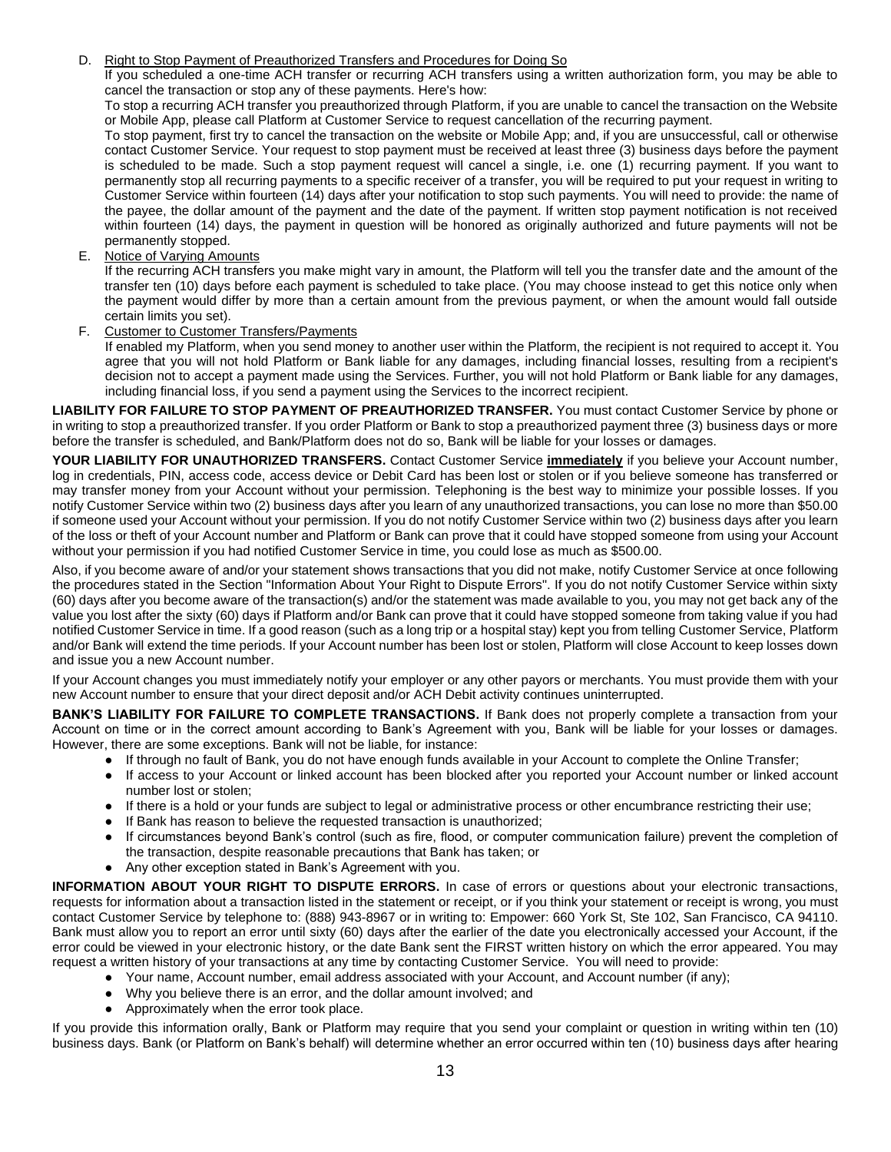#### D. Right to Stop Payment of Preauthorized Transfers and Procedures for Doing So

If you scheduled a one-time ACH transfer or recurring ACH transfers using a written authorization form, you may be able to cancel the transaction or stop any of these payments. Here's how:

To stop a recurring ACH transfer you preauthorized through Platform, if you are unable to cancel the transaction on the Website or Mobile App, please call Platform at Customer Service to request cancellation of the recurring payment.

To stop payment, first try to cancel the transaction on the website or Mobile App; and, if you are unsuccessful, call or otherwise contact Customer Service. Your request to stop payment must be received at least three (3) business days before the payment is scheduled to be made. Such a stop payment request will cancel a single, i.e. one (1) recurring payment. If you want to permanently stop all recurring payments to a specific receiver of a transfer, you will be required to put your request in writing to Customer Service within fourteen (14) days after your notification to stop such payments. You will need to provide: the name of the payee, the dollar amount of the payment and the date of the payment. If written stop payment notification is not received within fourteen (14) days, the payment in question will be honored as originally authorized and future payments will not be permanently stopped.

E. Notice of Varying Amounts

If the recurring ACH transfers you make might vary in amount, the Platform will tell you the transfer date and the amount of the transfer ten (10) days before each payment is scheduled to take place. (You may choose instead to get this notice only when the payment would differ by more than a certain amount from the previous payment, or when the amount would fall outside certain limits you set).

F. Customer to Customer Transfers/Payments

If enabled my Platform, when you send money to another user within the Platform, the recipient is not required to accept it. You agree that you will not hold Platform or Bank liable for any damages, including financial losses, resulting from a recipient's decision not to accept a payment made using the Services. Further, you will not hold Platform or Bank liable for any damages, including financial loss, if you send a payment using the Services to the incorrect recipient.

**LIABILITY FOR FAILURE TO STOP PAYMENT OF PREAUTHORIZED TRANSFER.** You must contact Customer Service by phone or in writing to stop a preauthorized transfer. If you order Platform or Bank to stop a preauthorized payment three (3) business days or more before the transfer is scheduled, and Bank/Platform does not do so, Bank will be liable for your losses or damages.

**YOUR LIABILITY FOR UNAUTHORIZED TRANSFERS.** Contact Customer Service **immediately** if you believe your Account number, log in credentials, PIN, access code, access device or Debit Card has been lost or stolen or if you believe someone has transferred or may transfer money from your Account without your permission. Telephoning is the best way to minimize your possible losses. If you notify Customer Service within two (2) business days after you learn of any unauthorized transactions, you can lose no more than \$50.00 if someone used your Account without your permission. If you do not notify Customer Service within two (2) business days after you learn of the loss or theft of your Account number and Platform or Bank can prove that it could have stopped someone from using your Account without your permission if you had notified Customer Service in time, you could lose as much as \$500.00.

Also, if you become aware of and/or your statement shows transactions that you did not make, notify Customer Service at once following the procedures stated in the Section "Information About Your Right to Dispute Errors". If you do not notify Customer Service within sixty (60) days after you become aware of the transaction(s) and/or the statement was made available to you, you may not get back any of the value you lost after the sixty (60) days if Platform and/or Bank can prove that it could have stopped someone from taking value if you had notified Customer Service in time. If a good reason (such as a long trip or a hospital stay) kept you from telling Customer Service, Platform and/or Bank will extend the time periods. If your Account number has been lost or stolen, Platform will close Account to keep losses down and issue you a new Account number.

If your Account changes you must immediately notify your employer or any other payors or merchants. You must provide them with your new Account number to ensure that your direct deposit and/or ACH Debit activity continues uninterrupted.

**BANK'S LIABILITY FOR FAILURE TO COMPLETE TRANSACTIONS.** If Bank does not properly complete a transaction from your Account on time or in the correct amount according to Bank's Agreement with you, Bank will be liable for your losses or damages. However, there are some exceptions. Bank will not be liable, for instance:

- If through no fault of Bank, you do not have enough funds available in your Account to complete the Online Transfer;
	- If access to your Account or linked account has been blocked after you reported your Account number or linked account number lost or stolen;
	- If there is a hold or your funds are subject to legal or administrative process or other encumbrance restricting their use;
	- If Bank has reason to believe the requested transaction is unauthorized;
	- If circumstances beyond Bank's control (such as fire, flood, or computer communication failure) prevent the completion of the transaction, despite reasonable precautions that Bank has taken; or
	- Any other exception stated in Bank's Agreement with you.

**INFORMATION ABOUT YOUR RIGHT TO DISPUTE ERRORS.** In case of errors or questions about your electronic transactions, requests for information about a transaction listed in the statement or receipt, or if you think your statement or receipt is wrong, you must contact Customer Service by telephone to: (888) 943-8967 or in writing to: Empower: 660 York St, Ste 102, San Francisco, CA 94110. Bank must allow you to report an error until sixty (60) days after the earlier of the date you electronically accessed your Account, if the error could be viewed in your electronic history, or the date Bank sent the FIRST written history on which the error appeared. You may request a written history of your transactions at any time by contacting Customer Service. You will need to provide:

- Your name, Account number, email address associated with your Account, and Account number (if any);
- Why you believe there is an error, and the dollar amount involved; and
- Approximately when the error took place.

If you provide this information orally, Bank or Platform may require that you send your complaint or question in writing within ten (10) business days. Bank (or Platform on Bank's behalf) will determine whether an error occurred within ten (10) business days after hearing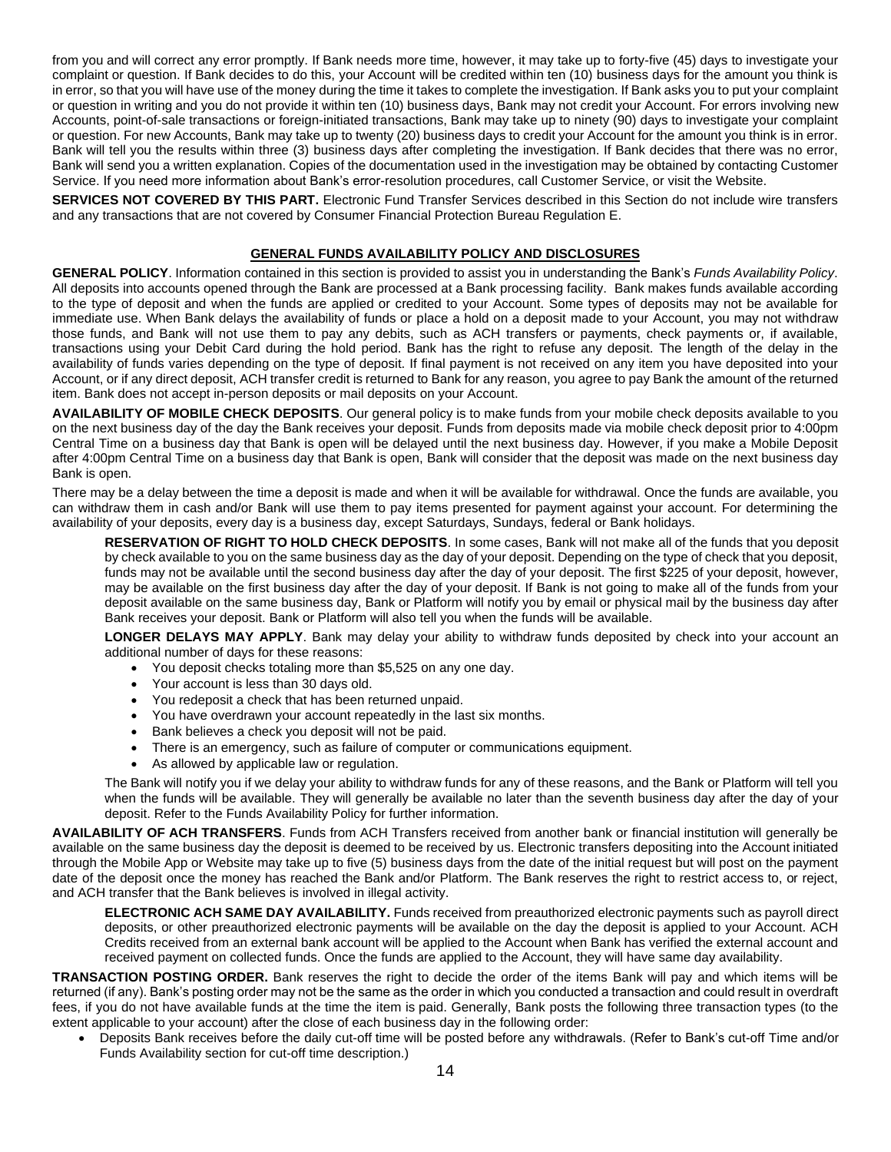from you and will correct any error promptly. If Bank needs more time, however, it may take up to forty-five (45) days to investigate your complaint or question. If Bank decides to do this, your Account will be credited within ten (10) business days for the amount you think is in error, so that you will have use of the money during the time it takes to complete the investigation. If Bank asks you to put your complaint or question in writing and you do not provide it within ten (10) business days, Bank may not credit your Account. For errors involving new Accounts, point-of-sale transactions or foreign-initiated transactions, Bank may take up to ninety (90) days to investigate your complaint or question. For new Accounts, Bank may take up to twenty (20) business days to credit your Account for the amount you think is in error. Bank will tell you the results within three (3) business days after completing the investigation. If Bank decides that there was no error, Bank will send you a written explanation. Copies of the documentation used in the investigation may be obtained by contacting Customer Service. If you need more information about Bank's error-resolution procedures, call Customer Service, or visit the Website.

**SERVICES NOT COVERED BY THIS PART.** Electronic Fund Transfer Services described in this Section do not include wire transfers and any transactions that are not covered by Consumer Financial Protection Bureau Regulation E.

#### **GENERAL FUNDS AVAILABILITY POLICY AND DISCLOSURES**

**GENERAL POLICY**. Information contained in this section is provided to assist you in understanding the Bank's *Funds Availability Policy*. All deposits into accounts opened through the Bank are processed at a Bank processing facility. Bank makes funds available according to the type of deposit and when the funds are applied or credited to your Account. Some types of deposits may not be available for immediate use. When Bank delays the availability of funds or place a hold on a deposit made to your Account, you may not withdraw those funds, and Bank will not use them to pay any debits, such as ACH transfers or payments, check payments or, if available, transactions using your Debit Card during the hold period. Bank has the right to refuse any deposit. The length of the delay in the availability of funds varies depending on the type of deposit. If final payment is not received on any item you have deposited into your Account, or if any direct deposit, ACH transfer credit is returned to Bank for any reason, you agree to pay Bank the amount of the returned item. Bank does not accept in-person deposits or mail deposits on your Account.

**AVAILABILITY OF MOBILE CHECK DEPOSITS**. Our general policy is to make funds from your mobile check deposits available to you on the next business day of the day the Bank receives your deposit. Funds from deposits made via mobile check deposit prior to 4:00pm Central Time on a business day that Bank is open will be delayed until the next business day. However, if you make a Mobile Deposit after 4:00pm Central Time on a business day that Bank is open, Bank will consider that the deposit was made on the next business day Bank is open.

There may be a delay between the time a deposit is made and when it will be available for withdrawal. Once the funds are available, you can withdraw them in cash and/or Bank will use them to pay items presented for payment against your account. For determining the availability of your deposits, every day is a business day, except Saturdays, Sundays, federal or Bank holidays.

**RESERVATION OF RIGHT TO HOLD CHECK DEPOSITS**. In some cases, Bank will not make all of the funds that you deposit by check available to you on the same business day as the day of your deposit. Depending on the type of check that you deposit, funds may not be available until the second business day after the day of your deposit. The first \$225 of your deposit, however, may be available on the first business day after the day of your deposit. If Bank is not going to make all of the funds from your deposit available on the same business day, Bank or Platform will notify you by email or physical mail by the business day after Bank receives your deposit. Bank or Platform will also tell you when the funds will be available.

**LONGER DELAYS MAY APPLY**. Bank may delay your ability to withdraw funds deposited by check into your account an additional number of days for these reasons:

- You deposit checks totaling more than \$5,525 on any one day.
- Your account is less than 30 days old.
- You redeposit a check that has been returned unpaid.
- You have overdrawn your account repeatedly in the last six months.
- Bank believes a check you deposit will not be paid.
- There is an emergency, such as failure of computer or communications equipment.
- As allowed by applicable law or regulation.

The Bank will notify you if we delay your ability to withdraw funds for any of these reasons, and the Bank or Platform will tell you when the funds will be available. They will generally be available no later than the seventh business day after the day of your deposit. Refer to the Funds Availability Policy for further information.

**AVAILABILITY OF ACH TRANSFERS**. Funds from ACH Transfers received from another bank or financial institution will generally be available on the same business day the deposit is deemed to be received by us. Electronic transfers depositing into the Account initiated through the Mobile App or Website may take up to five (5) business days from the date of the initial request but will post on the payment date of the deposit once the money has reached the Bank and/or Platform. The Bank reserves the right to restrict access to, or reject, and ACH transfer that the Bank believes is involved in illegal activity.

**ELECTRONIC ACH SAME DAY AVAILABILITY.** Funds received from preauthorized electronic payments such as payroll direct deposits, or other preauthorized electronic payments will be available on the day the deposit is applied to your Account. ACH Credits received from an external bank account will be applied to the Account when Bank has verified the external account and received payment on collected funds. Once the funds are applied to the Account, they will have same day availability.

**TRANSACTION POSTING ORDER.** Bank reserves the right to decide the order of the items Bank will pay and which items will be returned (if any). Bank's posting order may not be the same as the order in which you conducted a transaction and could result in overdraft fees, if you do not have available funds at the time the item is paid. Generally, Bank posts the following three transaction types (to the extent applicable to your account) after the close of each business day in the following order:

• Deposits Bank receives before the daily cut-off time will be posted before any withdrawals. (Refer to Bank's cut-off Time and/or Funds Availability section for cut-off time description.)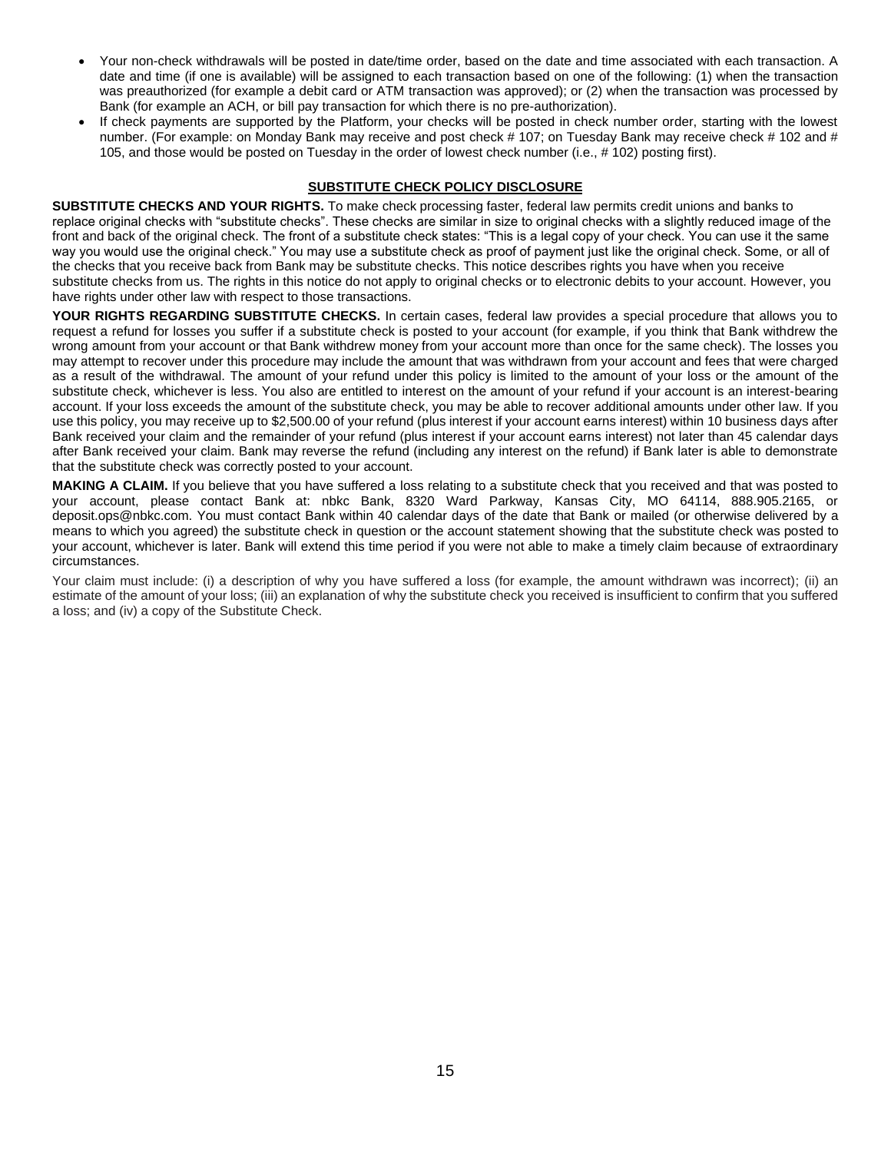- Your non-check withdrawals will be posted in date/time order, based on the date and time associated with each transaction. A date and time (if one is available) will be assigned to each transaction based on one of the following: (1) when the transaction was preauthorized (for example a debit card or ATM transaction was approved); or (2) when the transaction was processed by Bank (for example an ACH, or bill pay transaction for which there is no pre-authorization).
- If check payments are supported by the Platform, your checks will be posted in check number order, starting with the lowest number. (For example: on Monday Bank may receive and post check # 107; on Tuesday Bank may receive check # 102 and # 105, and those would be posted on Tuesday in the order of lowest check number (i.e., # 102) posting first).

# **SUBSTITUTE CHECK POLICY DISCLOSURE**

**SUBSTITUTE CHECKS AND YOUR RIGHTS.** To make check processing faster, federal law permits credit unions and banks to replace original checks with "substitute checks". These checks are similar in size to original checks with a slightly reduced image of the front and back of the original check. The front of a substitute check states: "This is a legal copy of your check. You can use it the same way you would use the original check." You may use a substitute check as proof of payment just like the original check. Some, or all of the checks that you receive back from Bank may be substitute checks. This notice describes rights you have when you receive substitute checks from us. The rights in this notice do not apply to original checks or to electronic debits to your account. However, you have rights under other law with respect to those transactions.

**YOUR RIGHTS REGARDING SUBSTITUTE CHECKS.** In certain cases, federal law provides a special procedure that allows you to request a refund for losses you suffer if a substitute check is posted to your account (for example, if you think that Bank withdrew the wrong amount from your account or that Bank withdrew money from your account more than once for the same check). The losses you may attempt to recover under this procedure may include the amount that was withdrawn from your account and fees that were charged as a result of the withdrawal. The amount of your refund under this policy is limited to the amount of your loss or the amount of the substitute check, whichever is less. You also are entitled to interest on the amount of your refund if your account is an interest-bearing account. If your loss exceeds the amount of the substitute check, you may be able to recover additional amounts under other law. If you use this policy, you may receive up to \$2,500.00 of your refund (plus interest if your account earns interest) within 10 business days after Bank received your claim and the remainder of your refund (plus interest if your account earns interest) not later than 45 calendar days after Bank received your claim. Bank may reverse the refund (including any interest on the refund) if Bank later is able to demonstrate that the substitute check was correctly posted to your account.

**MAKING A CLAIM.** If you believe that you have suffered a loss relating to a substitute check that you received and that was posted to your account, please contact Bank at: nbkc Bank, 8320 Ward Parkway, Kansas City, MO 64114, 888.905.2165, or deposit.ops@nbkc.com. You must contact Bank within 40 calendar days of the date that Bank or mailed (or otherwise delivered by a means to which you agreed) the substitute check in question or the account statement showing that the substitute check was posted to your account, whichever is later. Bank will extend this time period if you were not able to make a timely claim because of extraordinary circumstances.

Your claim must include: (i) a description of why you have suffered a loss (for example, the amount withdrawn was incorrect); (ii) an estimate of the amount of your loss; (iii) an explanation of why the substitute check you received is insufficient to confirm that you suffered a loss; and (iv) a copy of the Substitute Check.